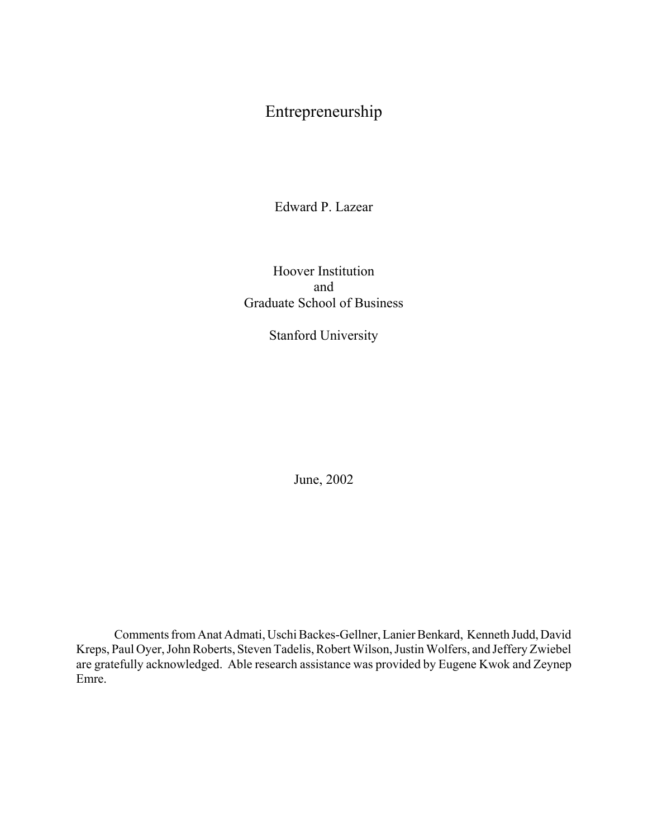# Entrepreneurship

Edward P. Lazear

Hoover Institution and Graduate School of Business

Stanford University

June, 2002

Comments from Anat Admati, Uschi Backes-Gellner, Lanier Benkard, Kenneth Judd, David Kreps, Paul Oyer, John Roberts, Steven Tadelis, Robert Wilson, Justin Wolfers, and Jeffery Zwiebel are gratefully acknowledged. Able research assistance was provided by Eugene Kwok and Zeynep Emre.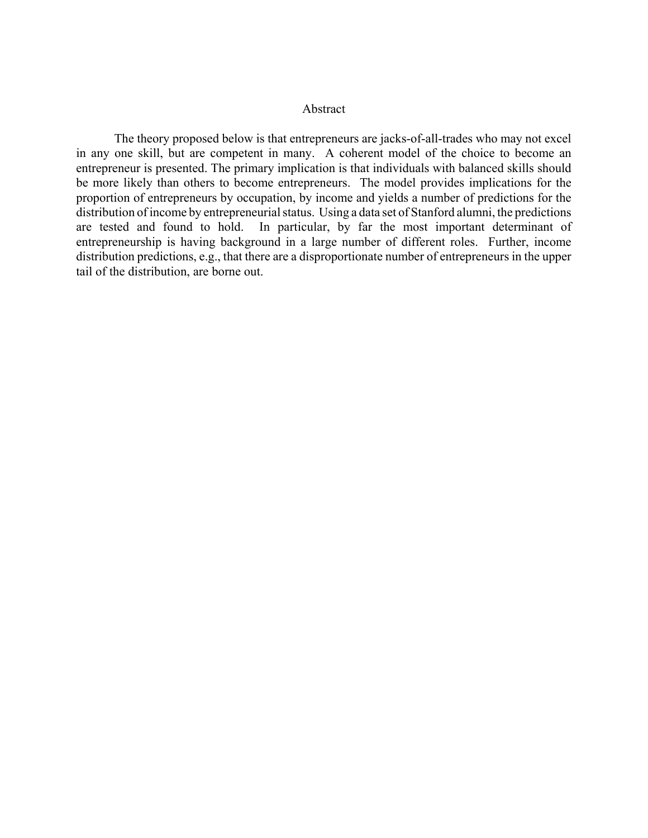## Abstract

The theory proposed below is that entrepreneurs are jacks-of-all-trades who may not excel in any one skill, but are competent in many. A coherent model of the choice to become an entrepreneur is presented. The primary implication is that individuals with balanced skills should be more likely than others to become entrepreneurs. The model provides implications for the proportion of entrepreneurs by occupation, by income and yields a number of predictions for the distribution of income by entrepreneurial status. Using a data set of Stanford alumni, the predictions are tested and found to hold. In particular, by far the most important determinant of entrepreneurship is having background in a large number of different roles. Further, income distribution predictions, e.g., that there are a disproportionate number of entrepreneurs in the upper tail of the distribution, are borne out.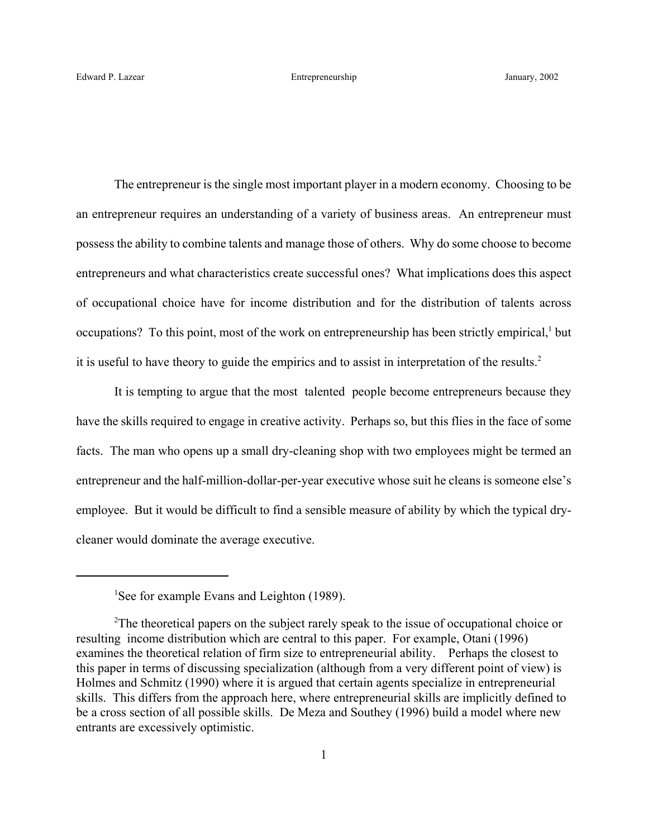The entrepreneur is the single most important player in a modern economy. Choosing to be an entrepreneur requires an understanding of a variety of business areas. An entrepreneur must possess the ability to combine talents and manage those of others. Why do some choose to become entrepreneurs and what characteristics create successful ones? What implications does this aspect of occupational choice have for income distribution and for the distribution of talents across occupations? To this point, most of the work on entrepreneurship has been strictly empirical,<sup>1</sup> but it is useful to have theory to guide the empirics and to assist in interpretation of the results.2

It is tempting to argue that the most talented people become entrepreneurs because they have the skills required to engage in creative activity. Perhaps so, but this flies in the face of some facts. The man who opens up a small dry-cleaning shop with two employees might be termed an entrepreneur and the half-million-dollar-per-year executive whose suit he cleans is someone else's employee. But it would be difficult to find a sensible measure of ability by which the typical drycleaner would dominate the average executive.

<sup>&</sup>lt;sup>1</sup>See for example Evans and Leighton (1989).

<sup>&</sup>lt;sup>2</sup>The theoretical papers on the subject rarely speak to the issue of occupational choice or resulting income distribution which are central to this paper. For example, Otani (1996) examines the theoretical relation of firm size to entrepreneurial ability. Perhaps the closest to this paper in terms of discussing specialization (although from a very different point of view) is Holmes and Schmitz (1990) where it is argued that certain agents specialize in entrepreneurial skills. This differs from the approach here, where entrepreneurial skills are implicitly defined to be a cross section of all possible skills. De Meza and Southey (1996) build a model where new entrants are excessively optimistic.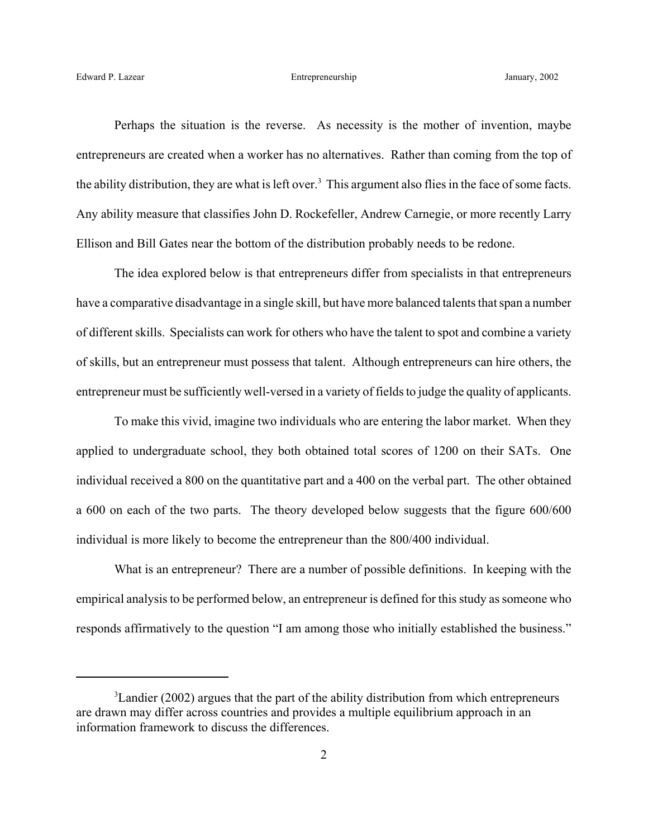Perhaps the situation is the reverse. As necessity is the mother of invention, maybe entrepreneurs are created when a worker has no alternatives. Rather than coming from the top of the ability distribution, they are what is left over.<sup>3</sup> This argument also flies in the face of some facts. Any ability measure that classifies John D. Rockefeller, Andrew Carnegie, or more recently Larry Ellison and Bill Gates near the bottom of the distribution probably needs to be redone.

The idea explored below is that entrepreneurs differ from specialists in that entrepreneurs have a comparative disadvantage in a single skill, but have more balanced talents that span a number of different skills. Specialists can work for others who have the talent to spot and combine a variety of skills, but an entrepreneur must possess that talent. Although entrepreneurs can hire others, the entrepreneur must be sufficiently well-versed in a variety of fields to judge the quality of applicants.

To make this vivid, imagine two individuals who are entering the labor market. When they applied to undergraduate school, they both obtained total scores of 1200 on their SATs. One individual received a 800 on the quantitative part and a 400 on the verbal part. The other obtained a 600 on each of the two parts. The theory developed below suggests that the figure 600/600 individual is more likely to become the entrepreneur than the 800/400 individual.

What is an entrepreneur? There are a number of possible definitions. In keeping with the empirical analysis to be performed below, an entrepreneur is defined for this study as someone who responds affirmatively to the question "I am among those who initially established the business."

 ${}^{3}$ Landier (2002) argues that the part of the ability distribution from which entrepreneurs are drawn may differ across countries and provides a multiple equilibrium approach in an information framework to discuss the differences.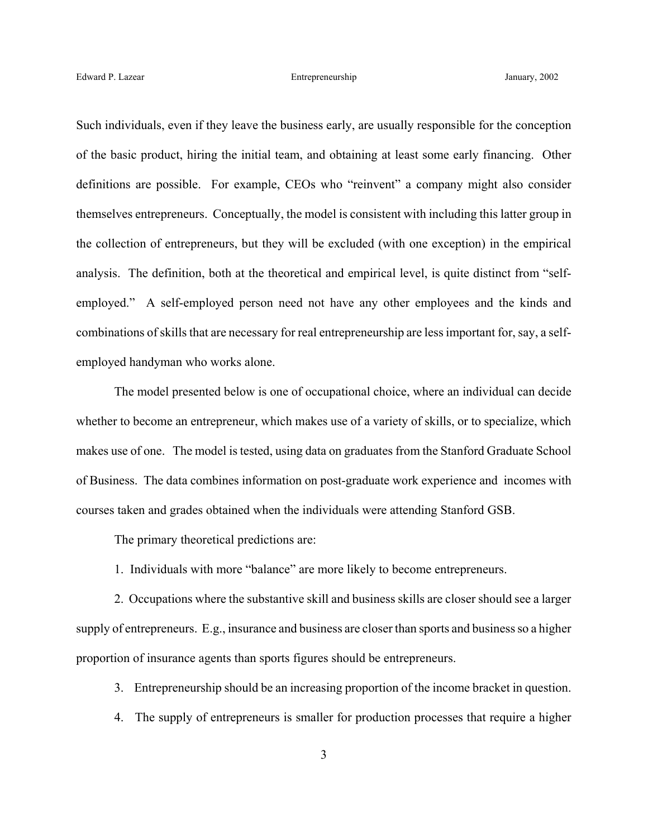Such individuals, even if they leave the business early, are usually responsible for the conception of the basic product, hiring the initial team, and obtaining at least some early financing. Other definitions are possible. For example, CEOs who "reinvent" a company might also consider themselves entrepreneurs. Conceptually, the model is consistent with including this latter group in the collection of entrepreneurs, but they will be excluded (with one exception) in the empirical analysis. The definition, both at the theoretical and empirical level, is quite distinct from "selfemployed." A self-employed person need not have any other employees and the kinds and combinations of skills that are necessary for real entrepreneurship are less important for, say, a selfemployed handyman who works alone.

The model presented below is one of occupational choice, where an individual can decide whether to become an entrepreneur, which makes use of a variety of skills, or to specialize, which makes use of one. The model is tested, using data on graduates from the Stanford Graduate School of Business. The data combines information on post-graduate work experience and incomes with courses taken and grades obtained when the individuals were attending Stanford GSB.

The primary theoretical predictions are:

1. Individuals with more "balance" are more likely to become entrepreneurs.

2. Occupations where the substantive skill and business skills are closer should see a larger supply of entrepreneurs. E.g., insurance and business are closer than sports and business so a higher proportion of insurance agents than sports figures should be entrepreneurs.

- 3. Entrepreneurship should be an increasing proportion of the income bracket in question.
- 4. The supply of entrepreneurs is smaller for production processes that require a higher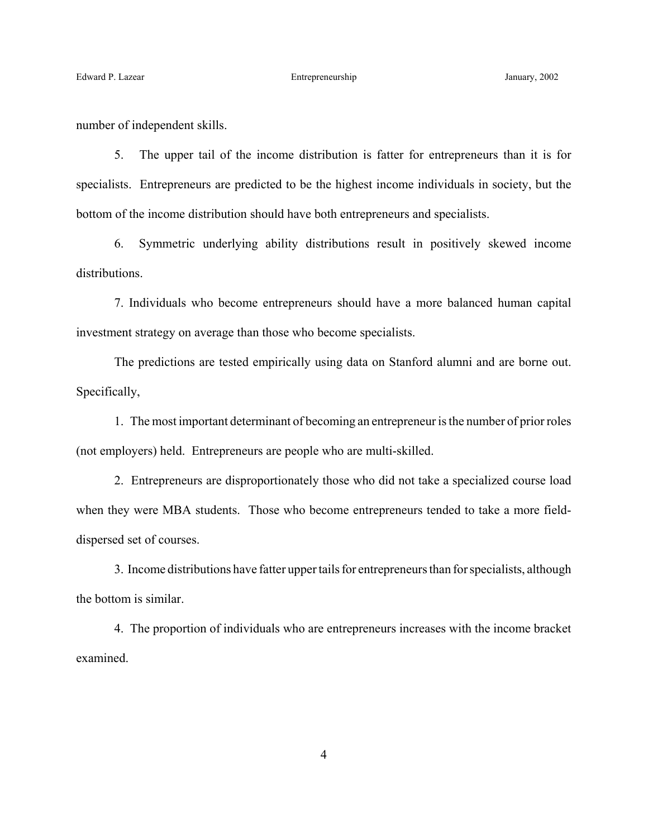number of independent skills.

5. The upper tail of the income distribution is fatter for entrepreneurs than it is for specialists. Entrepreneurs are predicted to be the highest income individuals in society, but the bottom of the income distribution should have both entrepreneurs and specialists.

6. Symmetric underlying ability distributions result in positively skewed income distributions.

7. Individuals who become entrepreneurs should have a more balanced human capital investment strategy on average than those who become specialists.

The predictions are tested empirically using data on Stanford alumni and are borne out. Specifically,

1. The most important determinant of becoming an entrepreneur is the number of prior roles (not employers) held. Entrepreneurs are people who are multi-skilled.

2. Entrepreneurs are disproportionately those who did not take a specialized course load when they were MBA students. Those who become entrepreneurs tended to take a more fielddispersed set of courses.

3. Income distributions have fatter upper tails for entrepreneurs than for specialists, although the bottom is similar.

4. The proportion of individuals who are entrepreneurs increases with the income bracket examined.

4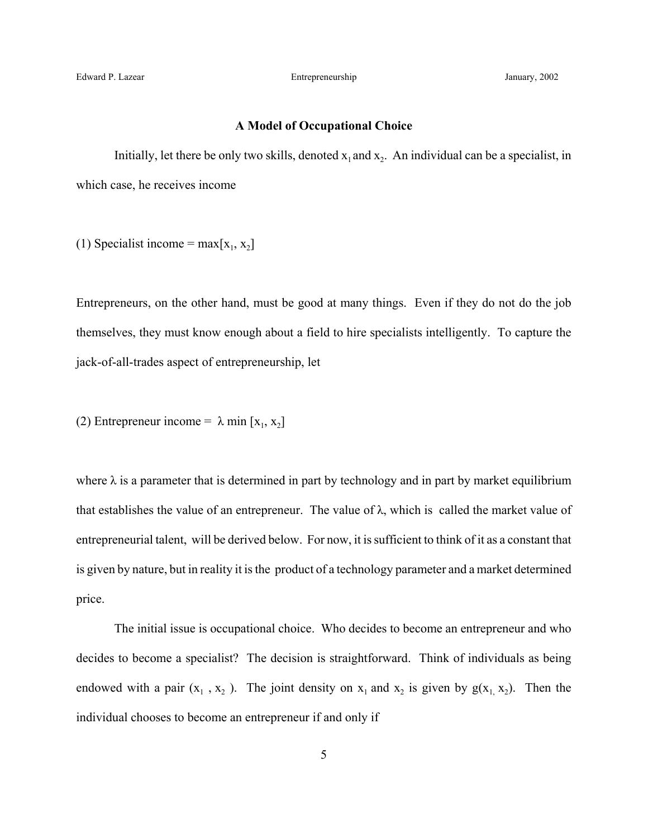### **A Model of Occupational Choice**

Initially, let there be only two skills, denoted  $x_1$  and  $x_2$ . An individual can be a specialist, in which case, he receives income

(1) Specialist income =  $max[x_1, x_2]$ 

Entrepreneurs, on the other hand, must be good at many things. Even if they do not do the job themselves, they must know enough about a field to hire specialists intelligently. To capture the jack-of-all-trades aspect of entrepreneurship, let

(2) Entrepreneur income =  $\lambda$  min [x<sub>1</sub>, x<sub>2</sub>]

where  $\lambda$  is a parameter that is determined in part by technology and in part by market equilibrium that establishes the value of an entrepreneur. The value of  $\lambda$ , which is called the market value of entrepreneurial talent, will be derived below. For now, it is sufficient to think of it as a constant that is given by nature, but in reality it is the product of a technology parameter and a market determined price.

The initial issue is occupational choice. Who decides to become an entrepreneur and who decides to become a specialist? The decision is straightforward. Think of individuals as being endowed with a pair  $(x_1, x_2)$ . The joint density on  $x_1$  and  $x_2$  is given by  $g(x_1, x_2)$ . Then the individual chooses to become an entrepreneur if and only if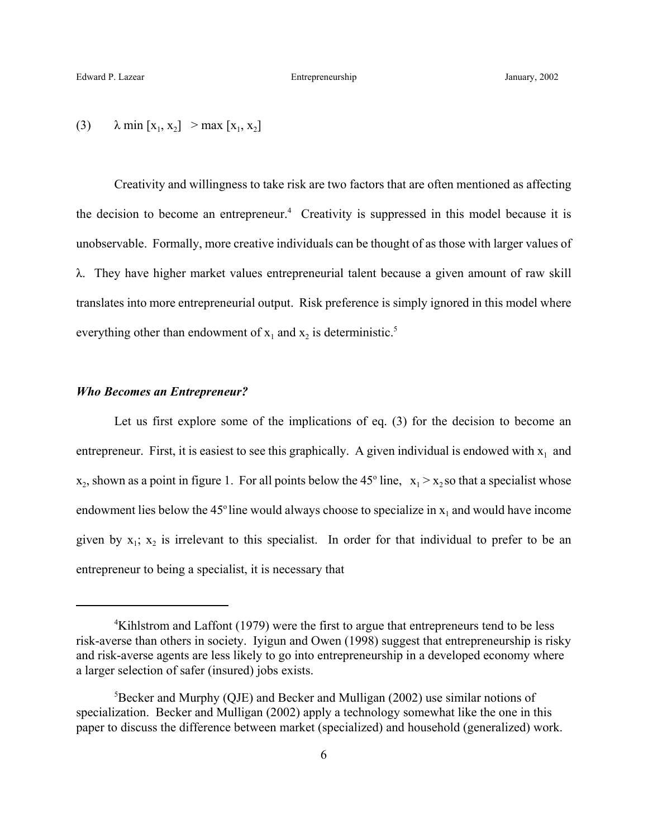$$
(3) \qquad \lambda \min[x_1, x_2] > \max[x_1, x_2]
$$

Creativity and willingness to take risk are two factors that are often mentioned as affecting the decision to become an entrepreneur.<sup>4</sup> Creativity is suppressed in this model because it is unobservable. Formally, more creative individuals can be thought of as those with larger values of λ. They have higher market values entrepreneurial talent because a given amount of raw skill translates into more entrepreneurial output. Risk preference is simply ignored in this model where everything other than endowment of  $x_1$  and  $x_2$  is deterministic.<sup>5</sup>

## *Who Becomes an Entrepreneur?*

Let us first explore some of the implications of eq. (3) for the decision to become an entrepreneur. First, it is easiest to see this graphically. A given individual is endowed with  $x_1$  and  $x_2$ , shown as a point in figure 1. For all points below the 45<sup>°</sup> line,  $x_1 > x_2$  so that a specialist whose endowment lies below the  $45^{\circ}$  line would always choose to specialize in  $x_1$  and would have income given by  $x_1$ ;  $x_2$  is irrelevant to this specialist. In order for that individual to prefer to be an entrepreneur to being a specialist, it is necessary that

<sup>&</sup>lt;sup>4</sup>Kihlstrom and Laffont (1979) were the first to argue that entrepreneurs tend to be less risk-averse than others in society. Iyigun and Owen (1998) suggest that entrepreneurship is risky and risk-averse agents are less likely to go into entrepreneurship in a developed economy where a larger selection of safer (insured) jobs exists.

<sup>5</sup> Becker and Murphy (QJE) and Becker and Mulligan (2002) use similar notions of specialization. Becker and Mulligan (2002) apply a technology somewhat like the one in this paper to discuss the difference between market (specialized) and household (generalized) work.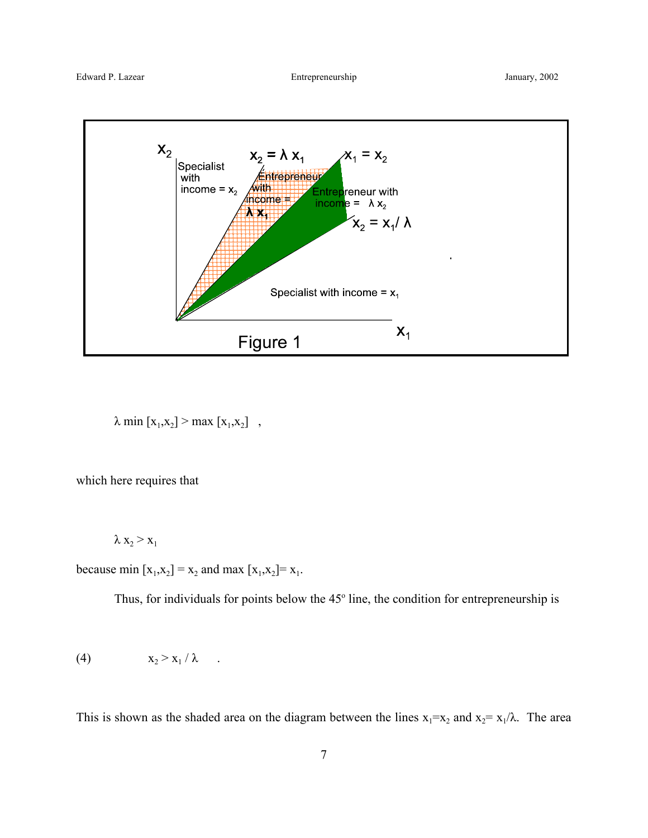Edward P. Lazear **Entrepreneurship Entrepreneurship** January, 2002



 $\lambda$  min [x<sub>1</sub>,x<sub>2</sub>] > max [x<sub>1</sub>,x<sub>2</sub>] ,

which here requires that

$$
\lambda\,x_2\geq x_1
$$

because min  $[x_1,x_2] = x_2$  and max  $[x_1,x_2] = x_1$ .

Thus, for individuals for points below the  $45^{\circ}$  line, the condition for entrepreneurship is

$$
(4) \t\t x2 > x1/\lambda .
$$

This is shown as the shaded area on the diagram between the lines  $x_1=x_2$  and  $x_2=x_1/\lambda$ . The area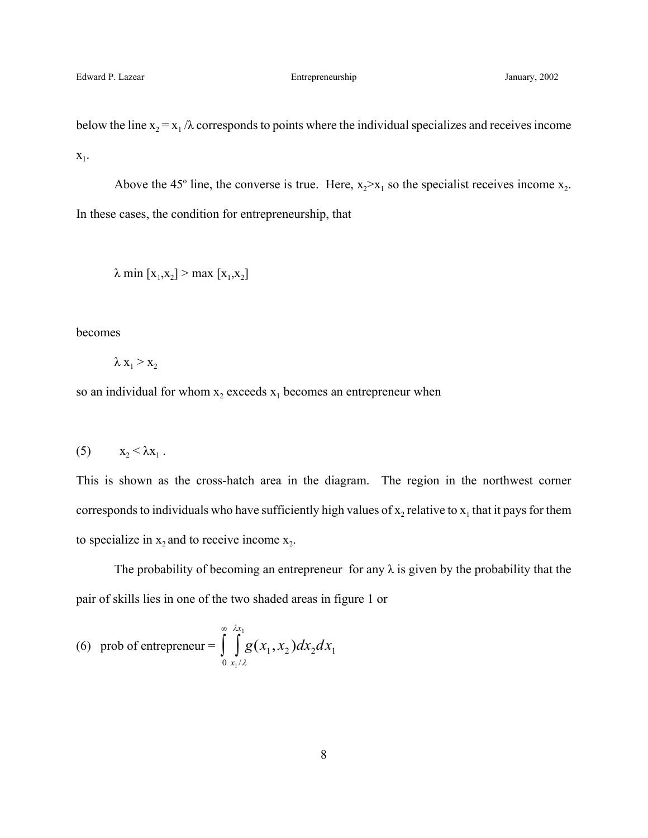below the line  $x_2 = x_1 / \lambda$  corresponds to points where the individual specializes and receives income  $x_1$ .

Above the 45<sup>°</sup> line, the converse is true. Here,  $x_2 > x_1$  so the specialist receives income  $x_2$ . In these cases, the condition for entrepreneurship, that

 $\lambda$  min  $[x_1, x_2] > \max [x_1, x_2]$ 

becomes

$$
\lambda x_1 > x_2
$$

so an individual for whom  $x_2$  exceeds  $x_1$  becomes an entrepreneur when

$$
(5) \qquad x_2 < \lambda x_1 .
$$

This is shown as the cross-hatch area in the diagram. The region in the northwest corner corresponds to individuals who have sufficiently high values of  $x_2$  relative to  $x_1$  that it pays for them to specialize in  $x_2$  and to receive income  $x_2$ .

The probability of becoming an entrepreneur for any  $\lambda$  is given by the probability that the pair of skills lies in one of the two shaded areas in figure 1 or

(6) prob of entrepreneur = 
$$
\int_{0}^{\infty} \int_{x_1/\lambda}^{\lambda x_1} g(x_1, x_2) dx_2 dx_1
$$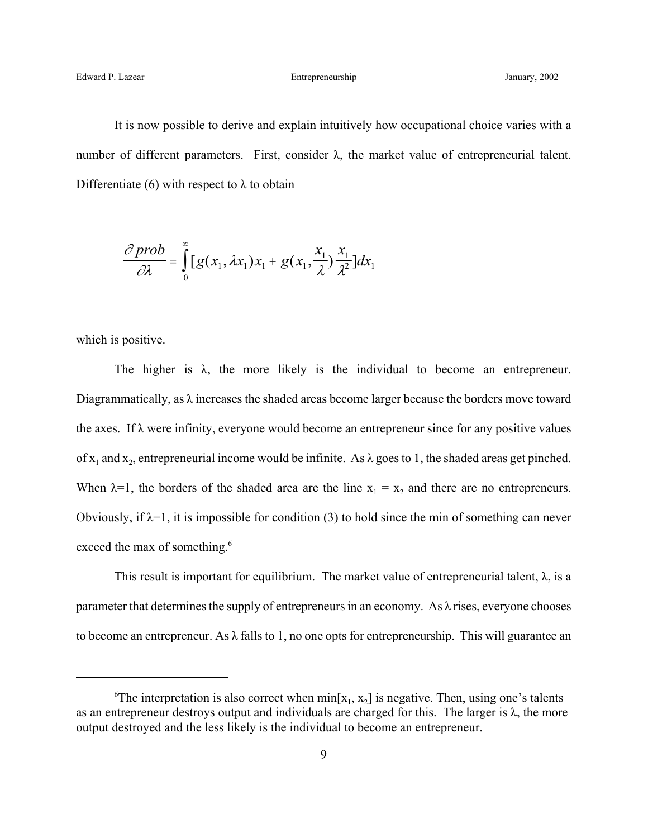It is now possible to derive and explain intuitively how occupational choice varies with a number of different parameters. First, consider  $\lambda$ , the market value of entrepreneurial talent. Differentiate (6) with respect to  $\lambda$  to obtain

$$
\frac{\partial prob}{\partial \lambda} = \int_{0}^{\infty} [g(x_1, \lambda x_1)x_1 + g(x_1, \frac{x_1}{\lambda}) \frac{x_1}{\lambda^2}] dx_1
$$

which is positive.

The higher is  $\lambda$ , the more likely is the individual to become an entrepreneur. Diagrammatically, as  $\lambda$  increases the shaded areas become larger because the borders move toward the axes. If  $\lambda$  were infinity, everyone would become an entrepreneur since for any positive values of  $x_1$  and  $x_2$ , entrepreneurial income would be infinite. As  $\lambda$  goes to 1, the shaded areas get pinched. When  $\lambda=1$ , the borders of the shaded area are the line  $x_1 = x_2$  and there are no entrepreneurs. Obviously, if  $\lambda = 1$ , it is impossible for condition (3) to hold since the min of something can never exceed the max of something.<sup>6</sup>

This result is important for equilibrium. The market value of entrepreneurial talent,  $\lambda$ , is a parameter that determines the supply of entrepreneurs in an economy. As  $\lambda$  rises, everyone chooses to become an entrepreneur. As λ falls to 1, no one opts for entrepreneurship. This will guarantee an

<sup>&</sup>lt;sup>6</sup>The interpretation is also correct when min[ $x_1, x_2$ ] is negative. Then, using one's talents as an entrepreneur destroys output and individuals are charged for this. The larger is  $\lambda$ , the more output destroyed and the less likely is the individual to become an entrepreneur.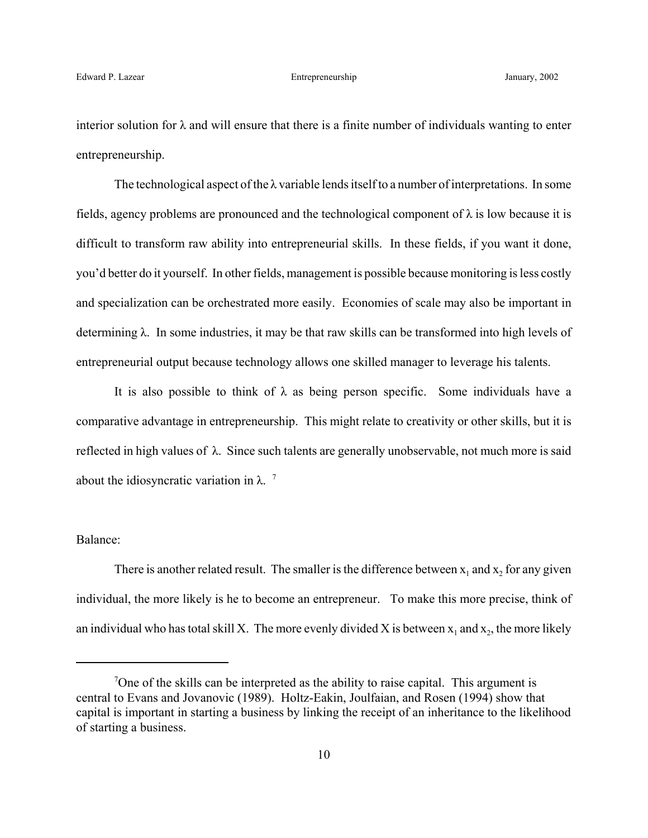interior solution for  $\lambda$  and will ensure that there is a finite number of individuals wanting to enter entrepreneurship.

The technological aspect of the  $\lambda$  variable lends itself to a number of interpretations. In some fields, agency problems are pronounced and the technological component of  $\lambda$  is low because it is difficult to transform raw ability into entrepreneurial skills. In these fields, if you want it done, you'd better do it yourself. In other fields, management is possible because monitoring is less costly and specialization can be orchestrated more easily. Economies of scale may also be important in determining  $\lambda$ . In some industries, it may be that raw skills can be transformed into high levels of entrepreneurial output because technology allows one skilled manager to leverage his talents.

It is also possible to think of  $\lambda$  as being person specific. Some individuals have a comparative advantage in entrepreneurship. This might relate to creativity or other skills, but it is reflected in high values of λ. Since such talents are generally unobservable, not much more is said about the idiosyncratic variation in  $\lambda$ . <sup>7</sup>

## Balance:

There is another related result. The smaller is the difference between  $x_1$  and  $x_2$  for any given individual, the more likely is he to become an entrepreneur. To make this more precise, think of an individual who has total skill X. The more evenly divided X is between  $x_1$  and  $x_2$ , the more likely

<sup>&</sup>lt;sup>7</sup>One of the skills can be interpreted as the ability to raise capital. This argument is central to Evans and Jovanovic (1989). Holtz-Eakin, Joulfaian, and Rosen (1994) show that capital is important in starting a business by linking the receipt of an inheritance to the likelihood of starting a business.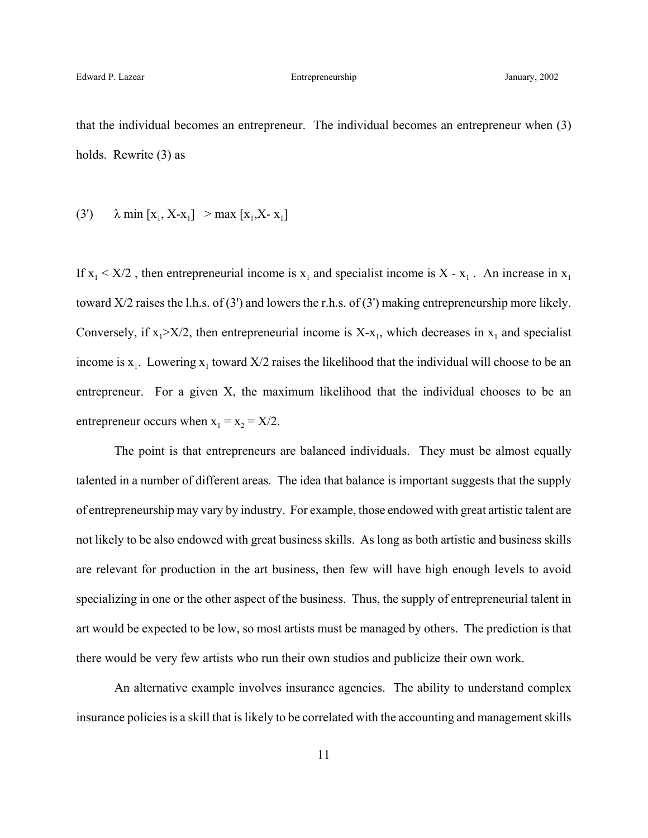that the individual becomes an entrepreneur. The individual becomes an entrepreneur when (3) holds. Rewrite (3) as

(3') 
$$
\lambda \min [x_1, X - x_1] > \max [x_1, X - x_1]
$$

If  $x_1 < X/2$ , then entrepreneurial income is  $x_1$  and specialist income is X -  $x_1$ . An increase in  $x_1$ toward X/2 raises the l.h.s. of (3') and lowers the r.h.s. of (3') making entrepreneurship more likely. Conversely, if  $x_1 > X/2$ , then entrepreneurial income is  $X-x_1$ , which decreases in  $x_1$  and specialist income is  $x_1$ . Lowering  $x_1$  toward  $X/2$  raises the likelihood that the individual will choose to be an entrepreneur. For a given X, the maximum likelihood that the individual chooses to be an entrepreneur occurs when  $x_1 = x_2 = X/2$ .

The point is that entrepreneurs are balanced individuals. They must be almost equally talented in a number of different areas. The idea that balance is important suggests that the supply of entrepreneurship may vary by industry. For example, those endowed with great artistic talent are not likely to be also endowed with great business skills. As long as both artistic and business skills are relevant for production in the art business, then few will have high enough levels to avoid specializing in one or the other aspect of the business. Thus, the supply of entrepreneurial talent in art would be expected to be low, so most artists must be managed by others. The prediction is that there would be very few artists who run their own studios and publicize their own work.

An alternative example involves insurance agencies. The ability to understand complex insurance policies is a skill that is likely to be correlated with the accounting and management skills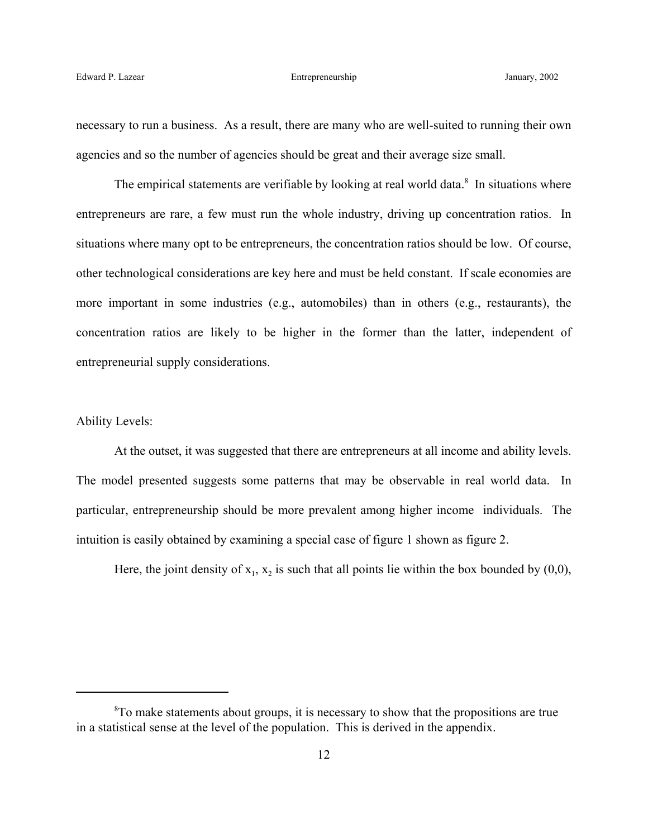necessary to run a business. As a result, there are many who are well-suited to running their own agencies and so the number of agencies should be great and their average size small.

The empirical statements are verifiable by looking at real world data. $\delta$  In situations where entrepreneurs are rare, a few must run the whole industry, driving up concentration ratios. In situations where many opt to be entrepreneurs, the concentration ratios should be low. Of course, other technological considerations are key here and must be held constant. If scale economies are more important in some industries (e.g., automobiles) than in others (e.g., restaurants), the concentration ratios are likely to be higher in the former than the latter, independent of entrepreneurial supply considerations.

## Ability Levels:

At the outset, it was suggested that there are entrepreneurs at all income and ability levels. The model presented suggests some patterns that may be observable in real world data. In particular, entrepreneurship should be more prevalent among higher income individuals. The intuition is easily obtained by examining a special case of figure 1 shown as figure 2.

Here, the joint density of  $x_1, x_2$  is such that all points lie within the box bounded by (0,0),

<sup>&</sup>lt;sup>8</sup>To make statements about groups, it is necessary to show that the propositions are true in a statistical sense at the level of the population. This is derived in the appendix.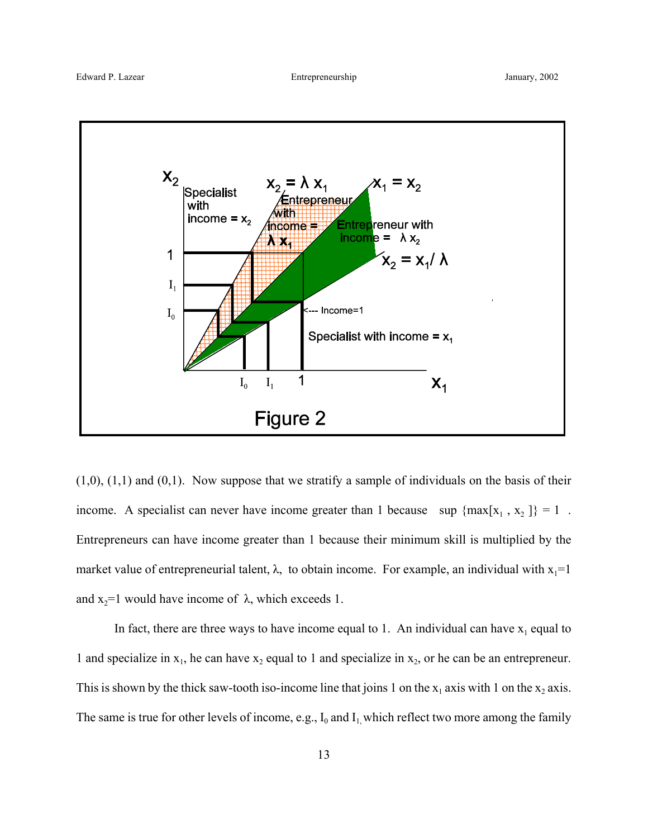

 $(1,0)$ ,  $(1,1)$  and  $(0,1)$ . Now suppose that we stratify a sample of individuals on the basis of their income. A specialist can never have income greater than 1 because sup  $\{max[x_1, x_2]\} = 1$ . Entrepreneurs can have income greater than 1 because their minimum skill is multiplied by the market value of entrepreneurial talent,  $\lambda$ , to obtain income. For example, an individual with  $x_1=1$ and  $x_2=1$  would have income of  $\lambda$ , which exceeds 1.

In fact, there are three ways to have income equal to 1. An individual can have  $x_1$  equal to 1 and specialize in  $x_1$ , he can have  $x_2$  equal to 1 and specialize in  $x_2$ , or he can be an entrepreneur. This is shown by the thick saw-tooth iso-income line that joins 1 on the  $x_1$  axis with 1 on the  $x_2$  axis. The same is true for other levels of income, e.g.,  $I_0$  and  $I_1$  which reflect two more among the family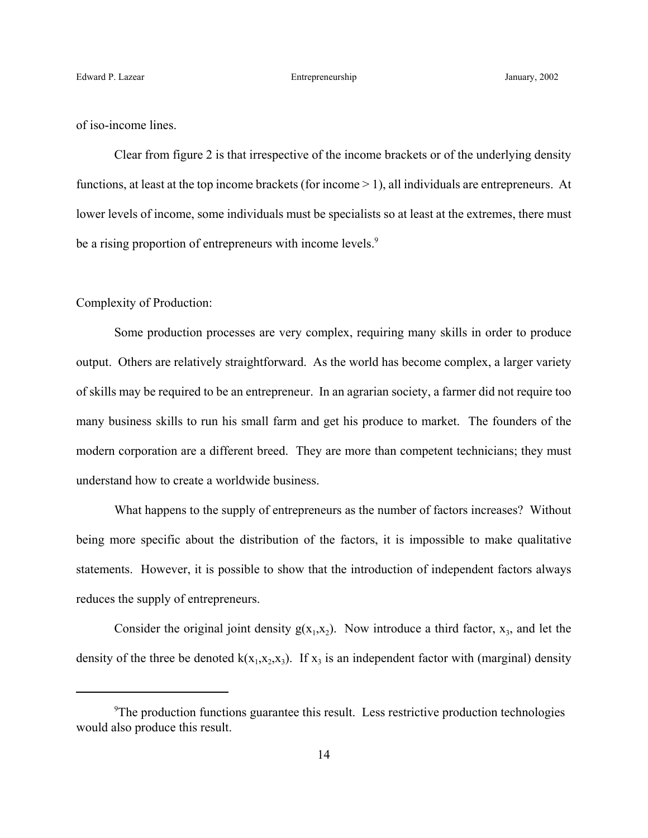of iso-income lines.

Clear from figure 2 is that irrespective of the income brackets or of the underlying density functions, at least at the top income brackets (for income  $> 1$ ), all individuals are entrepreneurs. At lower levels of income, some individuals must be specialists so at least at the extremes, there must be a rising proportion of entrepreneurs with income levels.<sup>9</sup>

## Complexity of Production:

Some production processes are very complex, requiring many skills in order to produce output. Others are relatively straightforward. As the world has become complex, a larger variety of skills may be required to be an entrepreneur. In an agrarian society, a farmer did not require too many business skills to run his small farm and get his produce to market. The founders of the modern corporation are a different breed. They are more than competent technicians; they must understand how to create a worldwide business.

What happens to the supply of entrepreneurs as the number of factors increases? Without being more specific about the distribution of the factors, it is impossible to make qualitative statements. However, it is possible to show that the introduction of independent factors always reduces the supply of entrepreneurs.

Consider the original joint density  $g(x_1,x_2)$ . Now introduce a third factor,  $x_3$ , and let the density of the three be denoted  $k(x_1,x_2,x_3)$ . If  $x_3$  is an independent factor with (marginal) density

<sup>&</sup>lt;sup>9</sup>The production functions guarantee this result. Less restrictive production technologies would also produce this result.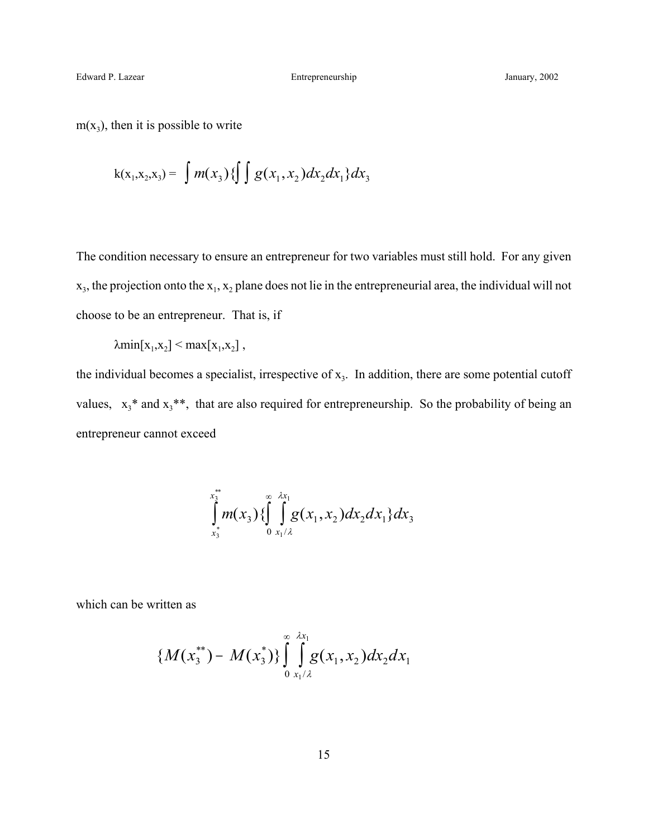$m(x_3)$ , then it is possible to write

$$
k(x_1,x_2,x_3) = \int m(x_3) \{ \int g(x_1,x_2) dx_2 dx_1 \} dx_3
$$

The condition necessary to ensure an entrepreneur for two variables must still hold. For any given  $x_3$ , the projection onto the  $x_1, x_2$  plane does not lie in the entrepreneurial area, the individual will not choose to be an entrepreneur. That is, if

$$
\lambda min[x_1,x_2] < max[x_1,x_2],
$$

the individual becomes a specialist, irrespective of  $x<sub>3</sub>$ . In addition, there are some potential cutoff values,  $x_3^*$  and  $x_3^{**}$ , that are also required for entrepreneurship. So the probability of being an entrepreneur cannot exceed

$$
\int_{x_3^*}^{x_3^{**}} m(x_3) \{\int_{0}^{\infty} \int_{x_1/\lambda}^{\lambda x_1} g(x_1, x_2) dx_2 dx_1\} dx_3
$$

which can be written as

$$
{M(x_3^{**})-M(x_3^{*})}\int_{0}^{\infty}\int_{x_1/\lambda}^{2x_1}g(x_1,x_2)dx_2dx_1
$$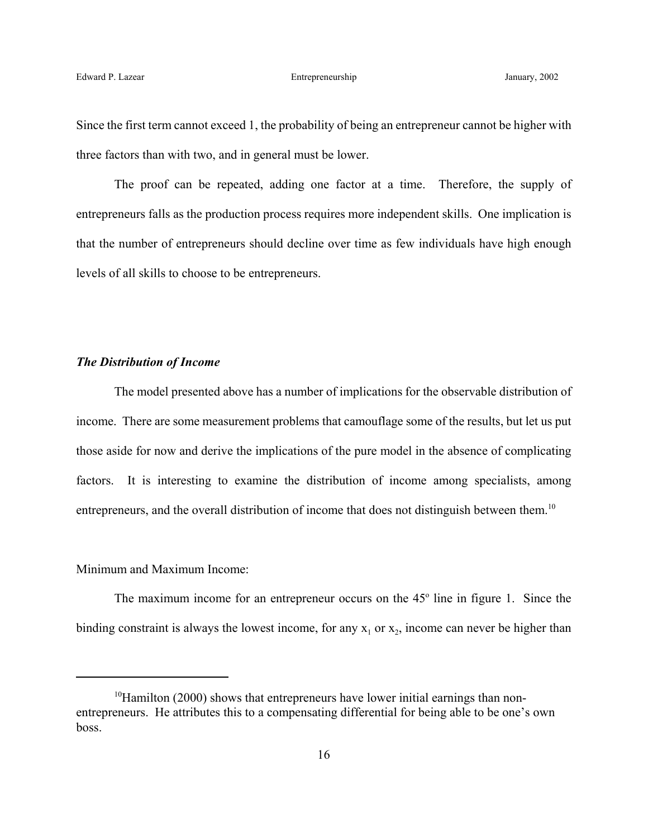Since the first term cannot exceed 1, the probability of being an entrepreneur cannot be higher with three factors than with two, and in general must be lower.

The proof can be repeated, adding one factor at a time. Therefore, the supply of entrepreneurs falls as the production process requires more independent skills. One implication is that the number of entrepreneurs should decline over time as few individuals have high enough levels of all skills to choose to be entrepreneurs.

## *The Distribution of Income*

The model presented above has a number of implications for the observable distribution of income. There are some measurement problems that camouflage some of the results, but let us put those aside for now and derive the implications of the pure model in the absence of complicating factors. It is interesting to examine the distribution of income among specialists, among entrepreneurs, and the overall distribution of income that does not distinguish between them.<sup>10</sup>

## Minimum and Maximum Income:

The maximum income for an entrepreneur occurs on the  $45^{\circ}$  line in figure 1. Since the binding constraint is always the lowest income, for any  $x_1$  or  $x_2$ , income can never be higher than

 $10$ Hamilton (2000) shows that entrepreneurs have lower initial earnings than nonentrepreneurs. He attributes this to a compensating differential for being able to be one's own boss.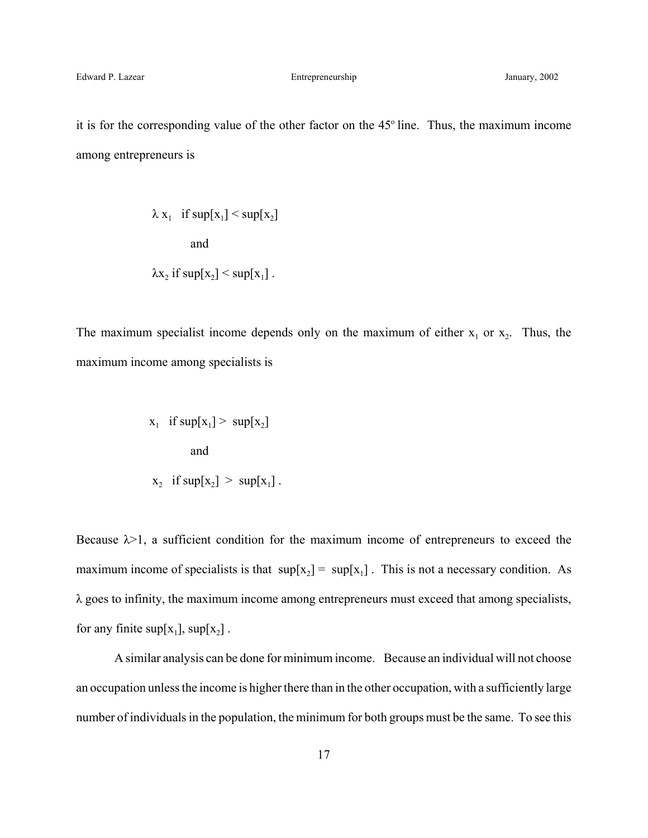it is for the corresponding value of the other factor on the  $45^{\circ}$  line. Thus, the maximum income among entrepreneurs is

$$
\lambda x_1 \text{ if } sup[x_1] < sup[x_2]
$$
\nand

\n
$$
\lambda x_2 \text{ if } sup[x_2] < sup[x_1].
$$

The maximum specialist income depends only on the maximum of either  $x_1$  or  $x_2$ . Thus, the maximum income among specialists is

$$
x_1 \quad \text{if sup}[x_1] > \sup[x_2]
$$
\n
$$
\text{and}
$$
\n
$$
x_2 \quad \text{if sup}[x_2] > \sup[x_1].
$$

Because  $\lambda > 1$ , a sufficient condition for the maximum income of entrepreneurs to exceed the maximum income of specialists is that  $\sup\{x_2\} = \sup\{x_1\}$ . This is not a necessary condition. As  $\lambda$  goes to infinity, the maximum income among entrepreneurs must exceed that among specialists, for any finite sup[ $x_1$ ], sup[ $x_2$ ].

A similar analysis can be done for minimum income. Because an individual will not choose an occupation unless the income is higher there than in the other occupation, with a sufficiently large number of individuals in the population, the minimum for both groups must be the same. To see this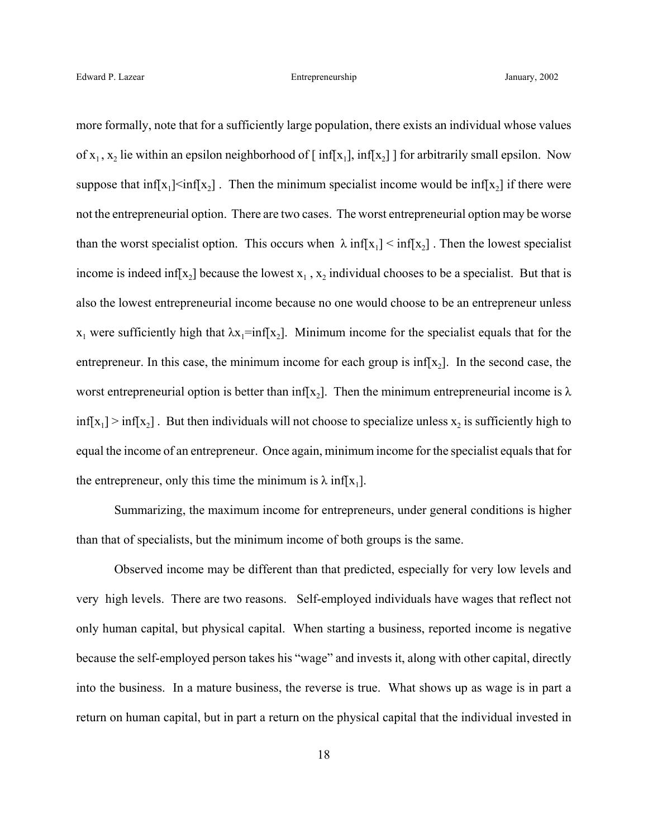more formally, note that for a sufficiently large population, there exists an individual whose values of  $x_1, x_2$  lie within an epsilon neighborhood of [ inf[x<sub>1</sub>], inf[x<sub>2</sub>] ] for arbitrarily small epsilon. Now suppose that  $\inf[x_1] \leq \inf[x_2]$ . Then the minimum specialist income would be  $\inf[x_2]$  if there were not the entrepreneurial option. There are two cases. The worst entrepreneurial option may be worse than the worst specialist option. This occurs when  $\lambda$  inf[x<sub>1</sub>] < inf[x<sub>2</sub>]. Then the lowest specialist income is indeed inf[x<sub>2</sub>] because the lowest  $x_1$ ,  $x_2$  individual chooses to be a specialist. But that is also the lowest entrepreneurial income because no one would choose to be an entrepreneur unless  $x_1$  were sufficiently high that  $\lambda x_1 = inf[x_2]$ . Minimum income for the specialist equals that for the entrepreneur. In this case, the minimum income for each group is  $\inf[x_2]$ . In the second case, the worst entrepreneurial option is better than inf[x<sub>2</sub>]. Then the minimum entrepreneurial income is  $\lambda$  $inf[x_1] > inf[x_2]$ . But then individuals will not choose to specialize unless  $x_2$  is sufficiently high to equal the income of an entrepreneur. Once again, minimum income for the specialist equals that for the entrepreneur, only this time the minimum is  $\lambda$  inf[x<sub>1</sub>].

Summarizing, the maximum income for entrepreneurs, under general conditions is higher than that of specialists, but the minimum income of both groups is the same.

Observed income may be different than that predicted, especially for very low levels and very high levels. There are two reasons. Self-employed individuals have wages that reflect not only human capital, but physical capital. When starting a business, reported income is negative because the self-employed person takes his "wage" and invests it, along with other capital, directly into the business. In a mature business, the reverse is true. What shows up as wage is in part a return on human capital, but in part a return on the physical capital that the individual invested in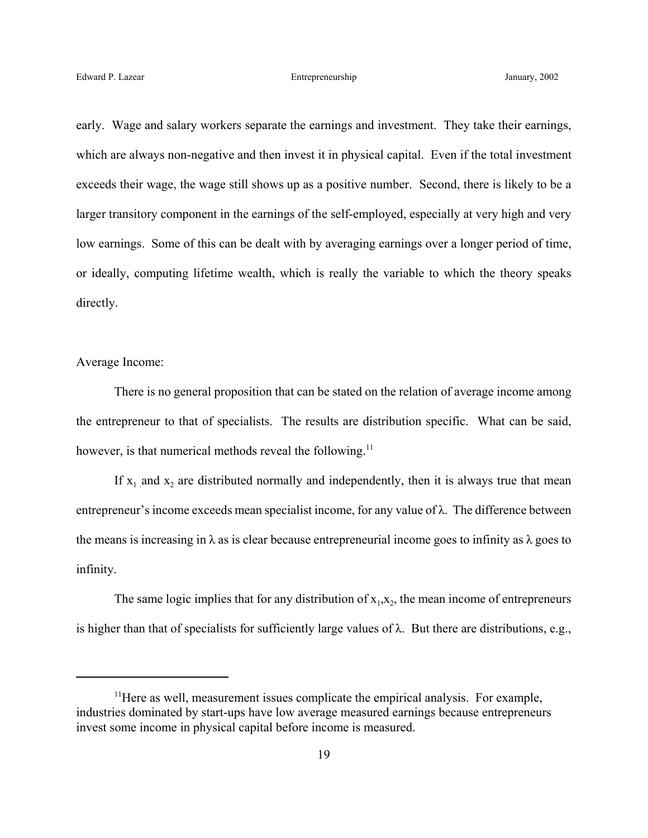early. Wage and salary workers separate the earnings and investment. They take their earnings, which are always non-negative and then invest it in physical capital. Even if the total investment exceeds their wage, the wage still shows up as a positive number. Second, there is likely to be a larger transitory component in the earnings of the self-employed, especially at very high and very low earnings. Some of this can be dealt with by averaging earnings over a longer period of time, or ideally, computing lifetime wealth, which is really the variable to which the theory speaks directly.

## Average Income:

There is no general proposition that can be stated on the relation of average income among the entrepreneur to that of specialists. The results are distribution specific. What can be said, however, is that numerical methods reveal the following.<sup>11</sup>

If  $x_1$  and  $x_2$  are distributed normally and independently, then it is always true that mean entrepreneur's income exceeds mean specialist income, for any value of  $\lambda$ . The difference between the means is increasing in  $\lambda$  as is clear because entrepreneurial income goes to infinity as  $\lambda$  goes to infinity.

The same logic implies that for any distribution of  $x_1, x_2$ , the mean income of entrepreneurs is higher than that of specialists for sufficiently large values of  $\lambda$ . But there are distributions, e.g.,

 $11$ Here as well, measurement issues complicate the empirical analysis. For example, industries dominated by start-ups have low average measured earnings because entrepreneurs invest some income in physical capital before income is measured.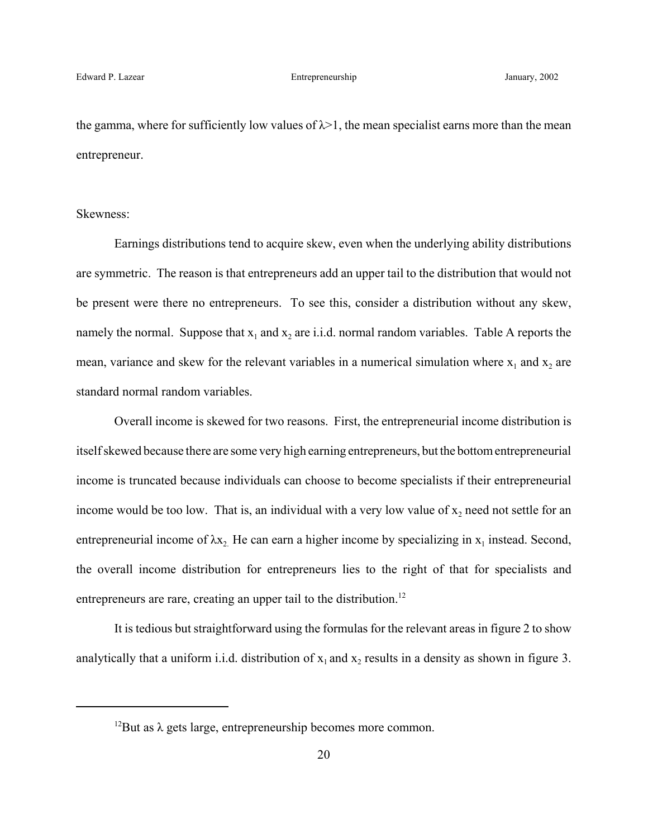the gamma, where for sufficiently low values of  $\lambda > 1$ , the mean specialist earns more than the mean entrepreneur.

Skewness:

Earnings distributions tend to acquire skew, even when the underlying ability distributions are symmetric. The reason is that entrepreneurs add an upper tail to the distribution that would not be present were there no entrepreneurs. To see this, consider a distribution without any skew, namely the normal. Suppose that  $x_1$  and  $x_2$  are i.i.d. normal random variables. Table A reports the mean, variance and skew for the relevant variables in a numerical simulation where  $x_1$  and  $x_2$  are standard normal random variables.

Overall income is skewed for two reasons. First, the entrepreneurial income distribution is itself skewed because there are some very high earning entrepreneurs, but the bottom entrepreneurial income is truncated because individuals can choose to become specialists if their entrepreneurial income would be too low. That is, an individual with a very low value of  $x_2$  need not settle for an entrepreneurial income of  $\lambda x_2$ . He can earn a higher income by specializing in  $x_1$  instead. Second, the overall income distribution for entrepreneurs lies to the right of that for specialists and entrepreneurs are rare, creating an upper tail to the distribution.<sup>12</sup>

It is tedious but straightforward using the formulas for the relevant areas in figure 2 to show analytically that a uniform i.i.d. distribution of  $x_1$  and  $x_2$  results in a density as shown in figure 3.

<sup>&</sup>lt;sup>12</sup>But as  $\lambda$  gets large, entrepreneurship becomes more common.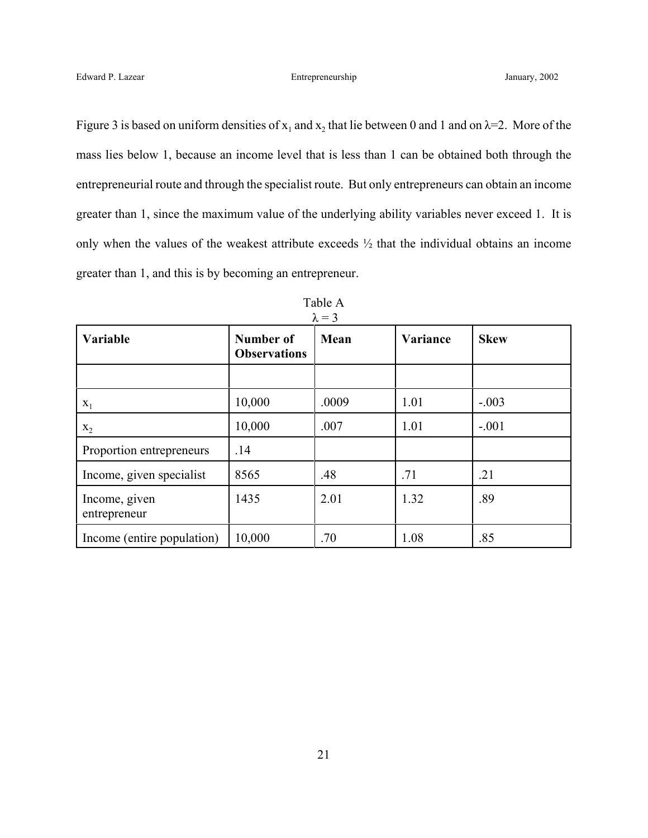Figure 3 is based on uniform densities of  $x_1$  and  $x_2$  that lie between 0 and 1 and on  $\lambda = 2$ . More of the mass lies below 1, because an income level that is less than 1 can be obtained both through the entrepreneurial route and through the specialist route. But only entrepreneurs can obtain an income greater than 1, since the maximum value of the underlying ability variables never exceed 1. It is only when the values of the weakest attribute exceeds ½ that the individual obtains an income greater than 1, and this is by becoming an entrepreneur.

| $\mathcal{N} = \mathcal{I}$   |                                  |       |          |             |  |
|-------------------------------|----------------------------------|-------|----------|-------------|--|
| Variable                      | Number of<br><b>Observations</b> | Mean  | Variance | <b>Skew</b> |  |
|                               |                                  |       |          |             |  |
| $X_1$                         | 10,000                           | .0009 | 1.01     | $-.003$     |  |
| $X_2$                         | 10,000                           | .007  | 1.01     | $-.001$     |  |
| Proportion entrepreneurs      | .14                              |       |          |             |  |
| Income, given specialist      | 8565                             | .48   | .71      | .21         |  |
| Income, given<br>entrepreneur | 1435                             | 2.01  | 1.32     | .89         |  |
| Income (entire population)    | 10,000                           | .70   | 1.08     | .85         |  |

Table A  $\lambda = 3$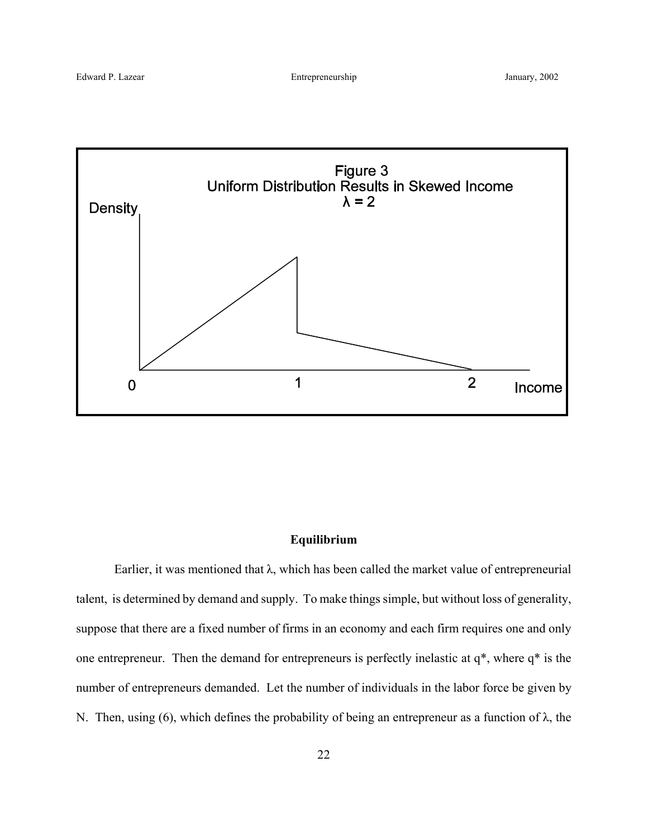

### **Equilibrium**

Earlier, it was mentioned that  $\lambda$ , which has been called the market value of entrepreneurial talent, is determined by demand and supply. To make things simple, but without loss of generality, suppose that there are a fixed number of firms in an economy and each firm requires one and only one entrepreneur. Then the demand for entrepreneurs is perfectly inelastic at q\*, where q\* is the number of entrepreneurs demanded. Let the number of individuals in the labor force be given by N. Then, using (6), which defines the probability of being an entrepreneur as a function of  $\lambda$ , the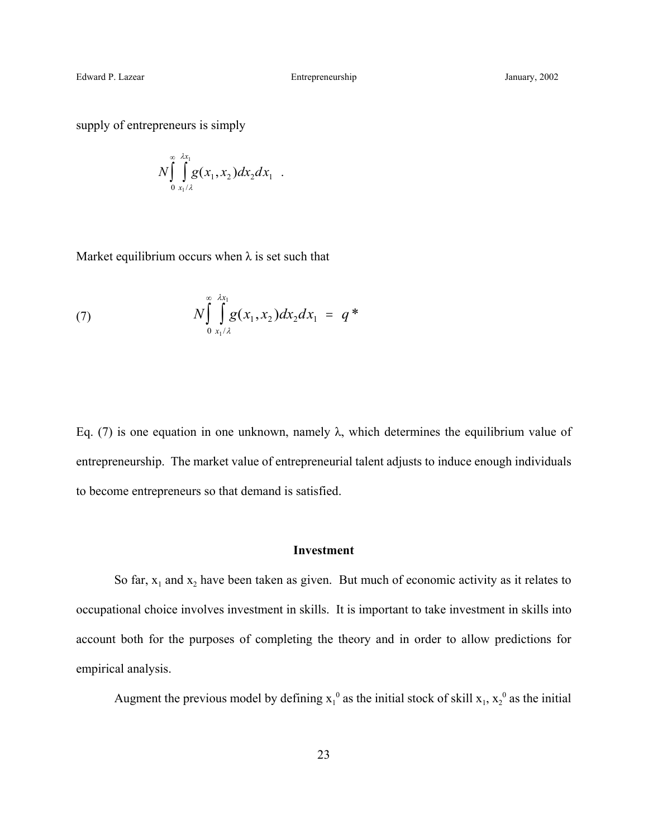Edward P. Lazear Entrepreneurship January, 2002

supply of entrepreneurs is simply

$$
N\int_{0}^{\infty}\int_{x_1/\lambda}^{\lambda x_1}g(x_1,x_2)dx_2dx_1.
$$

Market equilibrium occurs when  $\lambda$  is set such that

(7) 
$$
N\int_{0}^{\infty} \int_{x_1/\lambda}^{2x_1} g(x_1, x_2) dx_2 dx_1 = q^*
$$

Eq. (7) is one equation in one unknown, namely λ, which determines the equilibrium value of entrepreneurship. The market value of entrepreneurial talent adjusts to induce enough individuals to become entrepreneurs so that demand is satisfied.

## **Investment**

So far,  $x_1$  and  $x_2$  have been taken as given. But much of economic activity as it relates to occupational choice involves investment in skills. It is important to take investment in skills into account both for the purposes of completing the theory and in order to allow predictions for empirical analysis.

Augment the previous model by defining  $x_1^0$  as the initial stock of skill  $x_1, x_2^0$  as the initial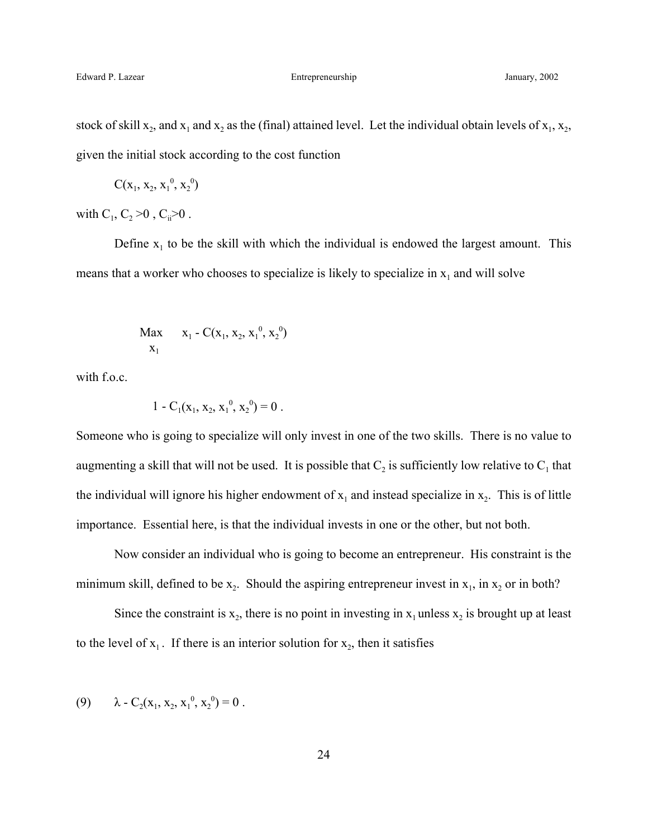stock of skill  $x_2$ , and  $x_1$  and  $x_2$  as the (final) attained level. Let the individual obtain levels of  $x_1, x_2$ , given the initial stock according to the cost function

$$
C(x_1, x_2, x_1^0, x_2^0)
$$

with  $C_1, C_2 > 0$ ,  $C_i > 0$ .

Define  $x_1$  to be the skill with which the individual is endowed the largest amount. This means that a worker who chooses to specialize is likely to specialize in  $x_1$  and will solve

$$
\begin{array}{cc}\n\text{Max} & x_1 - C(x_1, x_2, x_1^0, x_2^0) \\
x_1\n\end{array}
$$

with f.o.c.

$$
1 - C_1(x_1, x_2, x_1^0, x_2^0) = 0.
$$

Someone who is going to specialize will only invest in one of the two skills. There is no value to augmenting a skill that will not be used. It is possible that  $C_2$  is sufficiently low relative to  $C_1$  that the individual will ignore his higher endowment of  $x_1$  and instead specialize in  $x_2$ . This is of little importance. Essential here, is that the individual invests in one or the other, but not both.

Now consider an individual who is going to become an entrepreneur. His constraint is the minimum skill, defined to be  $x_2$ . Should the aspiring entrepreneur invest in  $x_1$ , in  $x_2$  or in both?

Since the constraint is  $x_2$ , there is no point in investing in  $x_1$  unless  $x_2$  is brought up at least to the level of  $x_1$ . If there is an interior solution for  $x_2$ , then it satisfies

(9) 
$$
\lambda - C_2(x_1, x_2, x_1^0, x_2^0) = 0
$$
.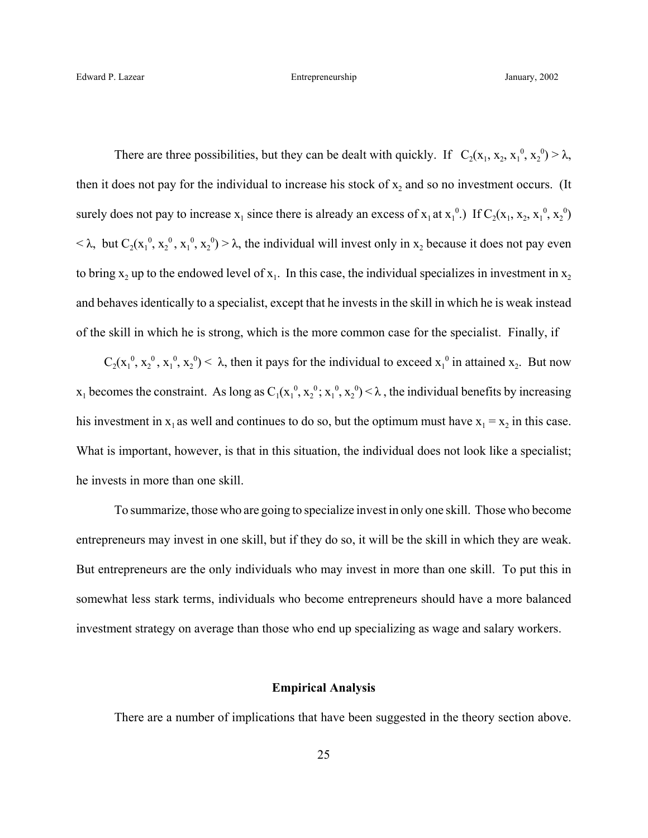There are three possibilities, but they can be dealt with quickly. If  $C_2(x_1, x_2, x_1^0, x_2^0) > \lambda$ , then it does not pay for the individual to increase his stock of  $x_2$  and so no investment occurs. (It surely does not pay to increase  $x_1$  since there is already an excess of  $x_1$  at  $x_1^0$ .) If  $C_2(x_1, x_2, x_1^0, x_2^0)$  $< \lambda$ , but  $C_2(x_1^0, x_2^0, x_1^0, x_2^0) > \lambda$ , the individual will invest only in  $x_2$  because it does not pay even to bring  $x_2$  up to the endowed level of  $x_1$ . In this case, the individual specializes in investment in  $x_2$ and behaves identically to a specialist, except that he invests in the skill in which he is weak instead of the skill in which he is strong, which is the more common case for the specialist. Finally, if

 $C_2(x_1^0, x_2^0, x_1^0, x_2^0) < \lambda$ , then it pays for the individual to exceed  $x_1^0$  in attained  $x_2$ . But now  $x_1$  becomes the constraint. As long as  $C_1(x_1^0, x_2^0; x_1^0, x_2^0) < \lambda$ , the individual benefits by increasing his investment in  $x_1$  as well and continues to do so, but the optimum must have  $x_1 = x_2$  in this case. What is important, however, is that in this situation, the individual does not look like a specialist; he invests in more than one skill.

To summarize, those who are going to specialize invest in only one skill. Those who become entrepreneurs may invest in one skill, but if they do so, it will be the skill in which they are weak. But entrepreneurs are the only individuals who may invest in more than one skill. To put this in somewhat less stark terms, individuals who become entrepreneurs should have a more balanced investment strategy on average than those who end up specializing as wage and salary workers.

### **Empirical Analysis**

There are a number of implications that have been suggested in the theory section above.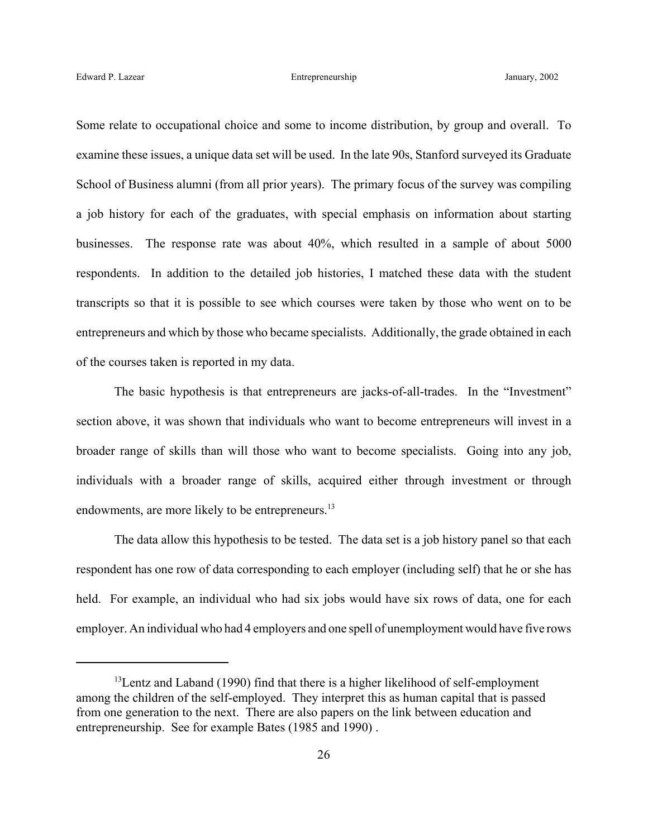Some relate to occupational choice and some to income distribution, by group and overall. To examine these issues, a unique data set will be used. In the late 90s, Stanford surveyed its Graduate School of Business alumni (from all prior years). The primary focus of the survey was compiling a job history for each of the graduates, with special emphasis on information about starting businesses. The response rate was about 40%, which resulted in a sample of about 5000 respondents. In addition to the detailed job histories, I matched these data with the student transcripts so that it is possible to see which courses were taken by those who went on to be entrepreneurs and which by those who became specialists. Additionally, the grade obtained in each of the courses taken is reported in my data.

The basic hypothesis is that entrepreneurs are jacks-of-all-trades. In the "Investment" section above, it was shown that individuals who want to become entrepreneurs will invest in a broader range of skills than will those who want to become specialists. Going into any job, individuals with a broader range of skills, acquired either through investment or through endowments, are more likely to be entrepreneurs.<sup>13</sup>

The data allow this hypothesis to be tested. The data set is a job history panel so that each respondent has one row of data corresponding to each employer (including self) that he or she has held. For example, an individual who had six jobs would have six rows of data, one for each employer. An individual who had 4 employers and one spell of unemployment would have five rows

<sup>&</sup>lt;sup>13</sup> Lentz and Laband (1990) find that there is a higher likelihood of self-employment among the children of the self-employed. They interpret this as human capital that is passed from one generation to the next. There are also papers on the link between education and entrepreneurship. See for example Bates (1985 and 1990) .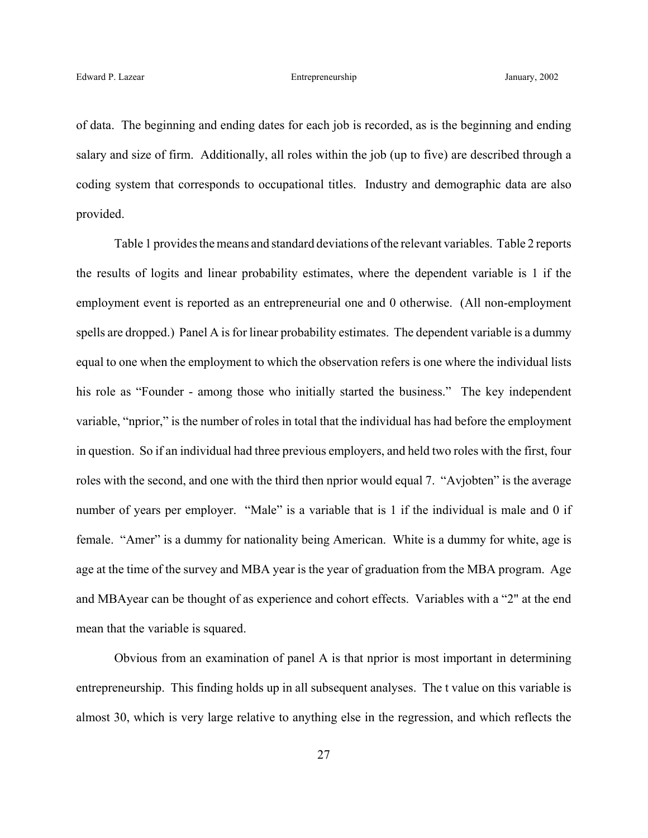of data. The beginning and ending dates for each job is recorded, as is the beginning and ending salary and size of firm. Additionally, all roles within the job (up to five) are described through a coding system that corresponds to occupational titles. Industry and demographic data are also provided.

Table 1 provides the means and standard deviations of the relevant variables. Table 2 reports the results of logits and linear probability estimates, where the dependent variable is 1 if the employment event is reported as an entrepreneurial one and 0 otherwise. (All non-employment spells are dropped.) Panel A is for linear probability estimates. The dependent variable is a dummy equal to one when the employment to which the observation refers is one where the individual lists his role as "Founder - among those who initially started the business." The key independent variable, "nprior," is the number of roles in total that the individual has had before the employment in question. So if an individual had three previous employers, and held two roles with the first, four roles with the second, and one with the third then nprior would equal 7. "Avjobten" is the average number of years per employer. "Male" is a variable that is 1 if the individual is male and 0 if female. "Amer" is a dummy for nationality being American. White is a dummy for white, age is age at the time of the survey and MBA year is the year of graduation from the MBA program. Age and MBAyear can be thought of as experience and cohort effects. Variables with a "2" at the end mean that the variable is squared.

Obvious from an examination of panel A is that nprior is most important in determining entrepreneurship. This finding holds up in all subsequent analyses. The t value on this variable is almost 30, which is very large relative to anything else in the regression, and which reflects the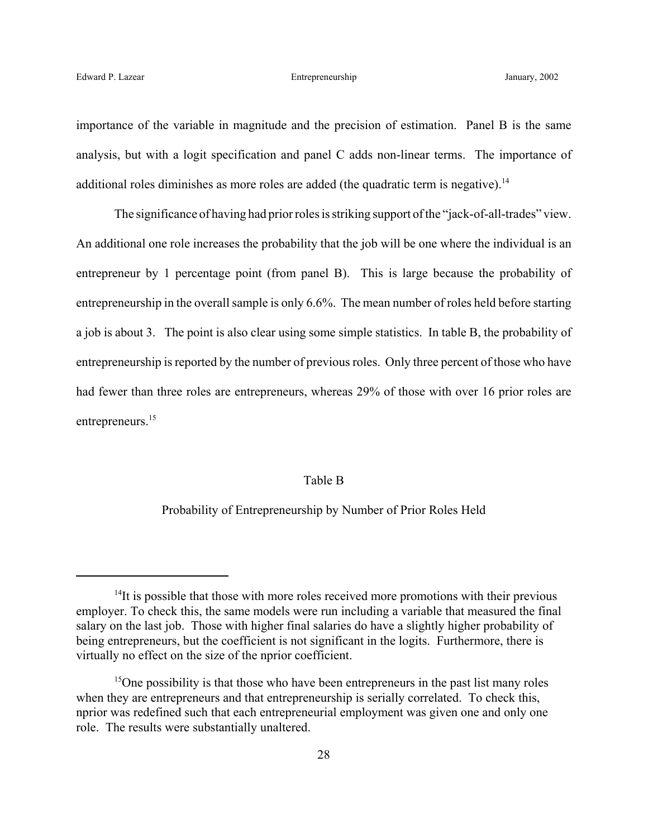importance of the variable in magnitude and the precision of estimation. Panel B is the same analysis, but with a logit specification and panel C adds non-linear terms. The importance of additional roles diminishes as more roles are added (the quadratic term is negative).<sup>14</sup>

The significance of having had prior roles is striking support of the "jack-of-all-trades" view. An additional one role increases the probability that the job will be one where the individual is an entrepreneur by 1 percentage point (from panel B). This is large because the probability of entrepreneurship in the overall sample is only 6.6%. The mean number of roles held before starting a job is about 3. The point is also clear using some simple statistics. In table B, the probability of entrepreneurship is reported by the number of previous roles. Only three percent of those who have had fewer than three roles are entrepreneurs, whereas 29% of those with over 16 prior roles are entrepreneurs.<sup>15</sup>

### Table B

## Probability of Entrepreneurship by Number of Prior Roles Held

 $14$ It is possible that those with more roles received more promotions with their previous employer. To check this, the same models were run including a variable that measured the final salary on the last job. Those with higher final salaries do have a slightly higher probability of being entrepreneurs, but the coefficient is not significant in the logits. Furthermore, there is virtually no effect on the size of the nprior coefficient.

 $15$ One possibility is that those who have been entrepreneurs in the past list many roles when they are entrepreneurs and that entrepreneurship is serially correlated. To check this, nprior was redefined such that each entrepreneurial employment was given one and only one role. The results were substantially unaltered.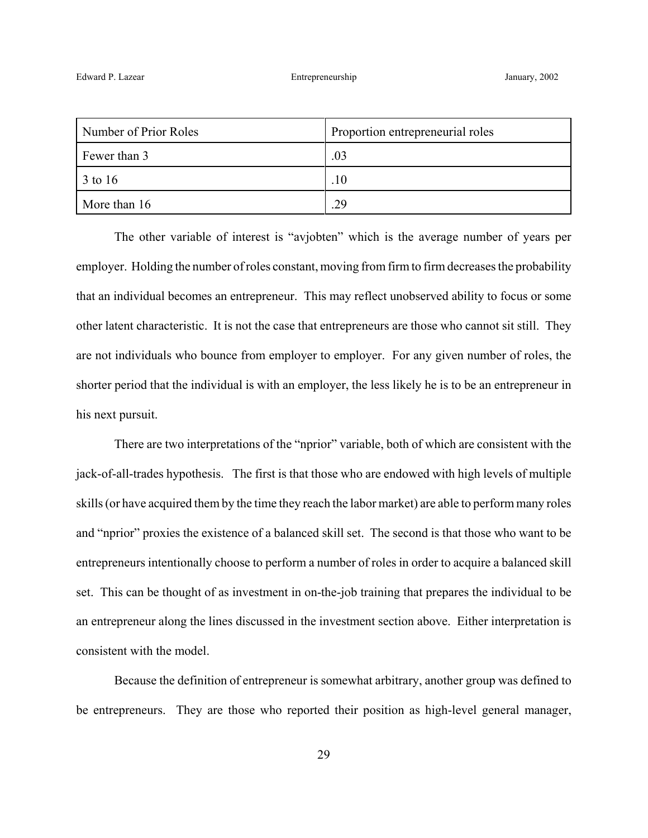| Number of Prior Roles | Proportion entrepreneurial roles |
|-----------------------|----------------------------------|
| Fewer than 3          | .03                              |
| 3 to 16               | .10                              |
| More than 16          | 29                               |

The other variable of interest is "avjobten" which is the average number of years per employer. Holding the number of roles constant, moving from firm to firm decreases the probability that an individual becomes an entrepreneur. This may reflect unobserved ability to focus or some other latent characteristic. It is not the case that entrepreneurs are those who cannot sit still. They are not individuals who bounce from employer to employer. For any given number of roles, the shorter period that the individual is with an employer, the less likely he is to be an entrepreneur in his next pursuit.

There are two interpretations of the "nprior" variable, both of which are consistent with the jack-of-all-trades hypothesis. The first is that those who are endowed with high levels of multiple skills (or have acquired them by the time they reach the labor market) are able to perform many roles and "nprior" proxies the existence of a balanced skill set. The second is that those who want to be entrepreneurs intentionally choose to perform a number of roles in order to acquire a balanced skill set. This can be thought of as investment in on-the-job training that prepares the individual to be an entrepreneur along the lines discussed in the investment section above. Either interpretation is consistent with the model.

Because the definition of entrepreneur is somewhat arbitrary, another group was defined to be entrepreneurs. They are those who reported their position as high-level general manager,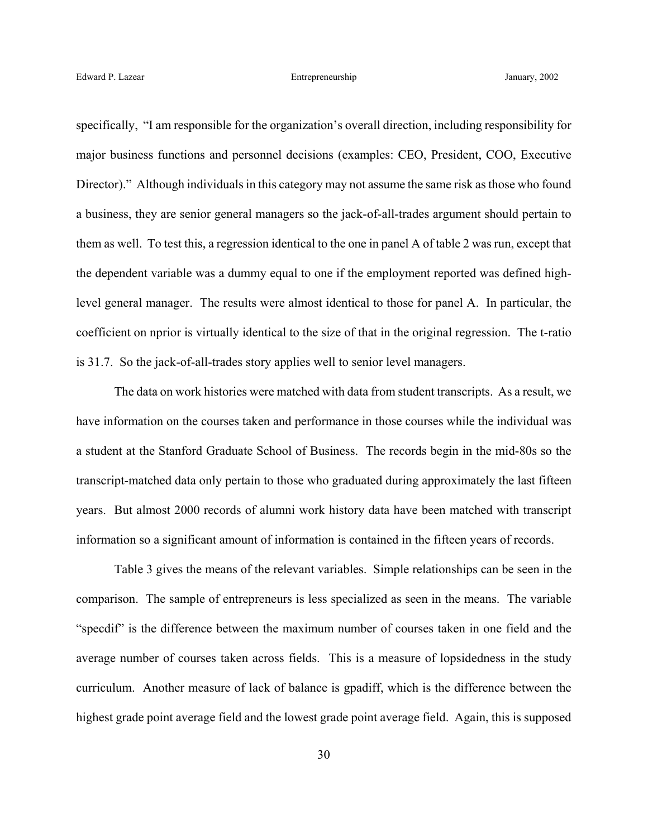specifically, "I am responsible for the organization's overall direction, including responsibility for major business functions and personnel decisions (examples: CEO, President, COO, Executive Director)." Although individuals in this category may not assume the same risk as those who found a business, they are senior general managers so the jack-of-all-trades argument should pertain to them as well. To test this, a regression identical to the one in panel A of table 2 was run, except that the dependent variable was a dummy equal to one if the employment reported was defined highlevel general manager. The results were almost identical to those for panel A. In particular, the coefficient on nprior is virtually identical to the size of that in the original regression. The t-ratio is 31.7. So the jack-of-all-trades story applies well to senior level managers.

The data on work histories were matched with data from student transcripts. As a result, we have information on the courses taken and performance in those courses while the individual was a student at the Stanford Graduate School of Business. The records begin in the mid-80s so the transcript-matched data only pertain to those who graduated during approximately the last fifteen years. But almost 2000 records of alumni work history data have been matched with transcript information so a significant amount of information is contained in the fifteen years of records.

Table 3 gives the means of the relevant variables. Simple relationships can be seen in the comparison. The sample of entrepreneurs is less specialized as seen in the means. The variable "specdif" is the difference between the maximum number of courses taken in one field and the average number of courses taken across fields. This is a measure of lopsidedness in the study curriculum. Another measure of lack of balance is gpadiff, which is the difference between the highest grade point average field and the lowest grade point average field. Again, this is supposed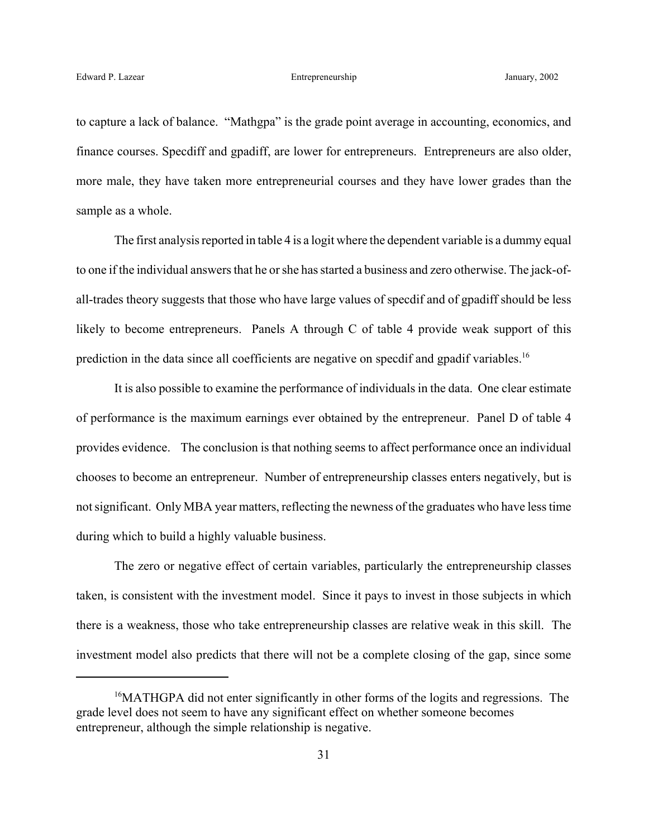to capture a lack of balance. "Mathgpa" is the grade point average in accounting, economics, and finance courses. Specdiff and gpadiff, are lower for entrepreneurs. Entrepreneurs are also older, more male, they have taken more entrepreneurial courses and they have lower grades than the sample as a whole.

The first analysis reported in table 4 is a logit where the dependent variable is a dummy equal to one if the individual answers that he or she has started a business and zero otherwise. The jack-ofall-trades theory suggests that those who have large values of specdif and of gpadiff should be less likely to become entrepreneurs. Panels A through C of table 4 provide weak support of this prediction in the data since all coefficients are negative on specdif and gpadif variables.<sup>16</sup>

It is also possible to examine the performance of individuals in the data. One clear estimate of performance is the maximum earnings ever obtained by the entrepreneur. Panel D of table 4 provides evidence. The conclusion is that nothing seems to affect performance once an individual chooses to become an entrepreneur. Number of entrepreneurship classes enters negatively, but is not significant. Only MBA year matters, reflecting the newness of the graduates who have less time during which to build a highly valuable business.

The zero or negative effect of certain variables, particularly the entrepreneurship classes taken, is consistent with the investment model. Since it pays to invest in those subjects in which there is a weakness, those who take entrepreneurship classes are relative weak in this skill. The investment model also predicts that there will not be a complete closing of the gap, since some

<sup>&</sup>lt;sup>16</sup>MATHGPA did not enter significantly in other forms of the logits and regressions. The grade level does not seem to have any significant effect on whether someone becomes entrepreneur, although the simple relationship is negative.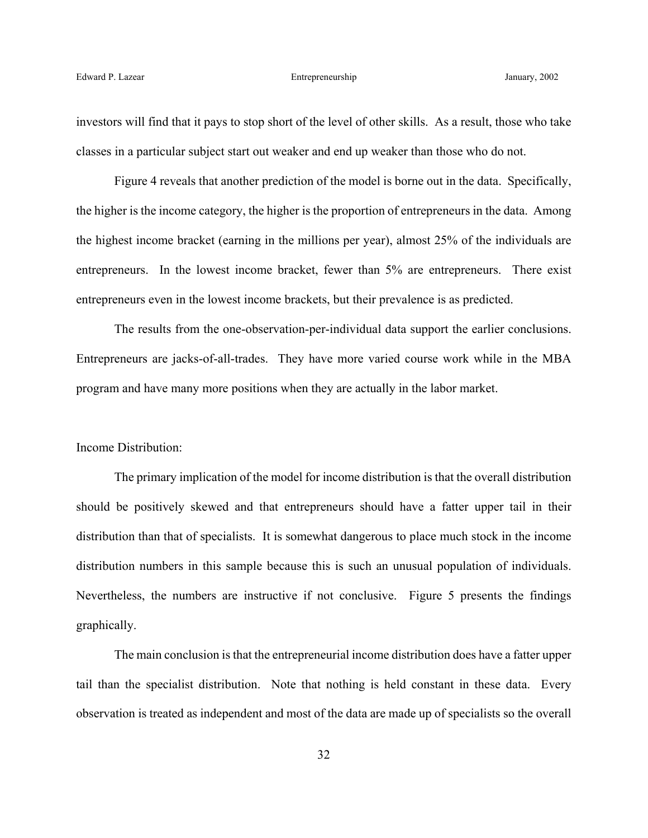### Edward P. Lazear Entrepreneurship January, 2002

investors will find that it pays to stop short of the level of other skills. As a result, those who take classes in a particular subject start out weaker and end up weaker than those who do not.

Figure 4 reveals that another prediction of the model is borne out in the data. Specifically, the higher is the income category, the higher is the proportion of entrepreneurs in the data. Among the highest income bracket (earning in the millions per year), almost 25% of the individuals are entrepreneurs. In the lowest income bracket, fewer than 5% are entrepreneurs. There exist entrepreneurs even in the lowest income brackets, but their prevalence is as predicted.

The results from the one-observation-per-individual data support the earlier conclusions. Entrepreneurs are jacks-of-all-trades. They have more varied course work while in the MBA program and have many more positions when they are actually in the labor market.

## Income Distribution:

The primary implication of the model for income distribution is that the overall distribution should be positively skewed and that entrepreneurs should have a fatter upper tail in their distribution than that of specialists. It is somewhat dangerous to place much stock in the income distribution numbers in this sample because this is such an unusual population of individuals. Nevertheless, the numbers are instructive if not conclusive. Figure 5 presents the findings graphically.

The main conclusion is that the entrepreneurial income distribution does have a fatter upper tail than the specialist distribution. Note that nothing is held constant in these data. Every observation is treated as independent and most of the data are made up of specialists so the overall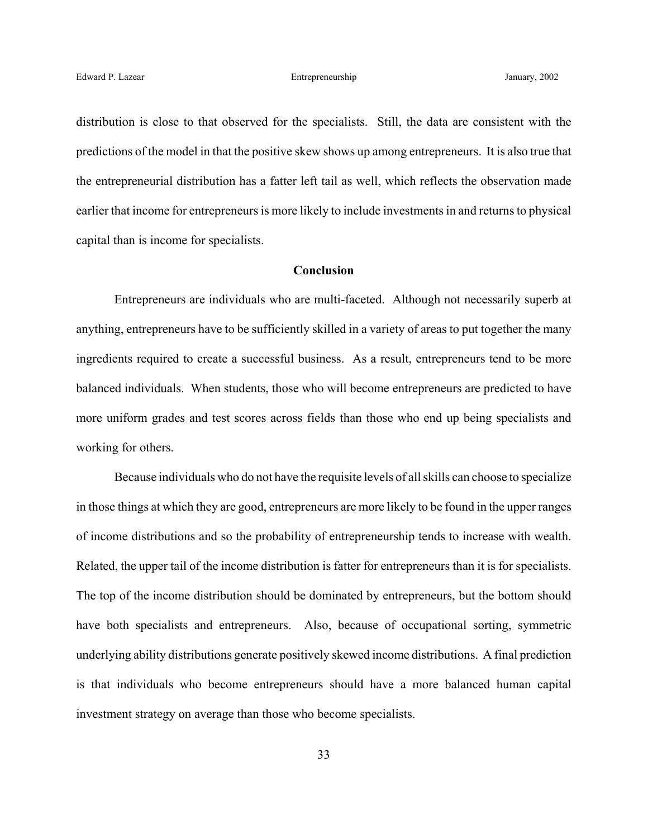distribution is close to that observed for the specialists. Still, the data are consistent with the predictions of the model in that the positive skew shows up among entrepreneurs. It is also true that the entrepreneurial distribution has a fatter left tail as well, which reflects the observation made earlier that income for entrepreneurs is more likely to include investments in and returns to physical capital than is income for specialists.

## **Conclusion**

Entrepreneurs are individuals who are multi-faceted. Although not necessarily superb at anything, entrepreneurs have to be sufficiently skilled in a variety of areas to put together the many ingredients required to create a successful business. As a result, entrepreneurs tend to be more balanced individuals. When students, those who will become entrepreneurs are predicted to have more uniform grades and test scores across fields than those who end up being specialists and working for others.

Because individuals who do not have the requisite levels of all skills can choose to specialize in those things at which they are good, entrepreneurs are more likely to be found in the upper ranges of income distributions and so the probability of entrepreneurship tends to increase with wealth. Related, the upper tail of the income distribution is fatter for entrepreneurs than it is for specialists. The top of the income distribution should be dominated by entrepreneurs, but the bottom should have both specialists and entrepreneurs. Also, because of occupational sorting, symmetric underlying ability distributions generate positively skewed income distributions. A final prediction is that individuals who become entrepreneurs should have a more balanced human capital investment strategy on average than those who become specialists.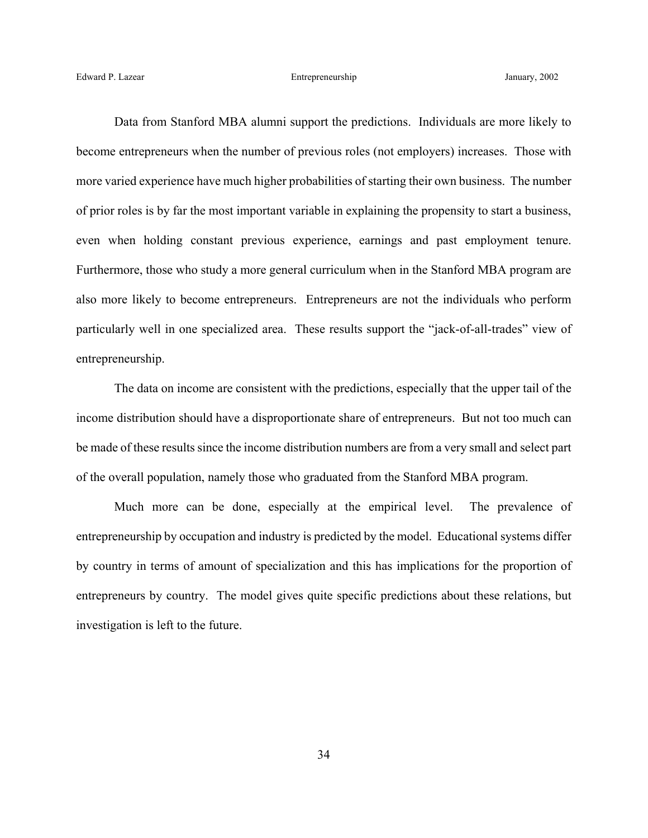Data from Stanford MBA alumni support the predictions. Individuals are more likely to become entrepreneurs when the number of previous roles (not employers) increases. Those with more varied experience have much higher probabilities of starting their own business. The number of prior roles is by far the most important variable in explaining the propensity to start a business, even when holding constant previous experience, earnings and past employment tenure. Furthermore, those who study a more general curriculum when in the Stanford MBA program are also more likely to become entrepreneurs. Entrepreneurs are not the individuals who perform particularly well in one specialized area. These results support the "jack-of-all-trades" view of entrepreneurship.

The data on income are consistent with the predictions, especially that the upper tail of the income distribution should have a disproportionate share of entrepreneurs. But not too much can be made of these results since the income distribution numbers are from a very small and select part of the overall population, namely those who graduated from the Stanford MBA program.

Much more can be done, especially at the empirical level. The prevalence of entrepreneurship by occupation and industry is predicted by the model. Educational systems differ by country in terms of amount of specialization and this has implications for the proportion of entrepreneurs by country. The model gives quite specific predictions about these relations, but investigation is left to the future.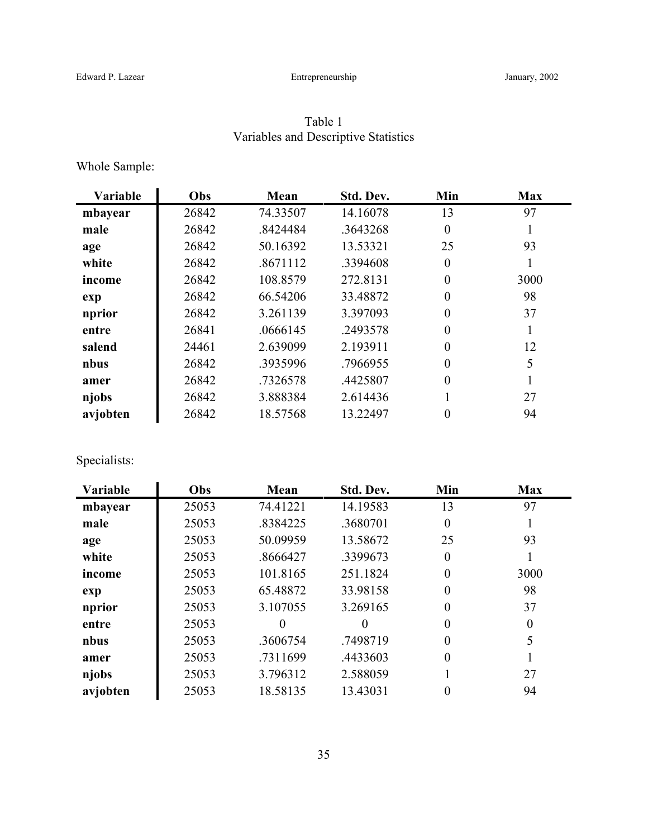| Table 1                              |  |
|--------------------------------------|--|
| Variables and Descriptive Statistics |  |

Whole Sample:

| Variable | Obs   | Mean     | Std. Dev. | Min              | <b>Max</b> |
|----------|-------|----------|-----------|------------------|------------|
| mbayear  | 26842 | 74.33507 | 14.16078  | 13               | 97         |
| male     | 26842 | .8424484 | .3643268  | $\overline{0}$   |            |
| age      | 26842 | 50.16392 | 13.53321  | 25               | 93         |
| white    | 26842 | .8671112 | .3394608  | $\boldsymbol{0}$ |            |
| income   | 26842 | 108.8579 | 272.8131  | $\overline{0}$   | 3000       |
| exp      | 26842 | 66.54206 | 33.48872  | $\theta$         | 98         |
| nprior   | 26842 | 3.261139 | 3.397093  | $\overline{0}$   | 37         |
| entre    | 26841 | .0666145 | .2493578  | $\overline{0}$   |            |
| salend   | 24461 | 2.639099 | 2.193911  | $\theta$         | 12         |
| nbus     | 26842 | .3935996 | .7966955  | $\overline{0}$   | 5          |
| amer     | 26842 | .7326578 | .4425807  | $\theta$         |            |
| njobs    | 26842 | 3.888384 | 2.614436  |                  | 27         |
| avjobten | 26842 | 18.57568 | 13.22497  | $\theta$         | 94         |

Specialists:

| Variable | Obs   | Mean     | Std. Dev. | Min            | <b>Max</b> |
|----------|-------|----------|-----------|----------------|------------|
| mbayear  | 25053 | 74.41221 | 14.19583  | 13             | 97         |
| male     | 25053 | .8384225 | .3680701  | $\overline{0}$ |            |
| age      | 25053 | 50.09959 | 13.58672  | 25             | 93         |
| white    | 25053 | .8666427 | .3399673  | $\theta$       |            |
| income   | 25053 | 101.8165 | 251.1824  | $\overline{0}$ | 3000       |
| exp      | 25053 | 65.48872 | 33.98158  | $\overline{0}$ | 98         |
| nprior   | 25053 | 3.107055 | 3.269165  | 0              | 37         |
| entre    | 25053 | 0        |           | $\theta$       | $\theta$   |
| nbus     | 25053 | .3606754 | .7498719  | $\theta$       | 5          |
| amer     | 25053 | .7311699 | .4433603  | $\theta$       |            |
| njobs    | 25053 | 3.796312 | 2.588059  |                | 27         |
| avjobten | 25053 | 18.58135 | 13.43031  | 0              | 94         |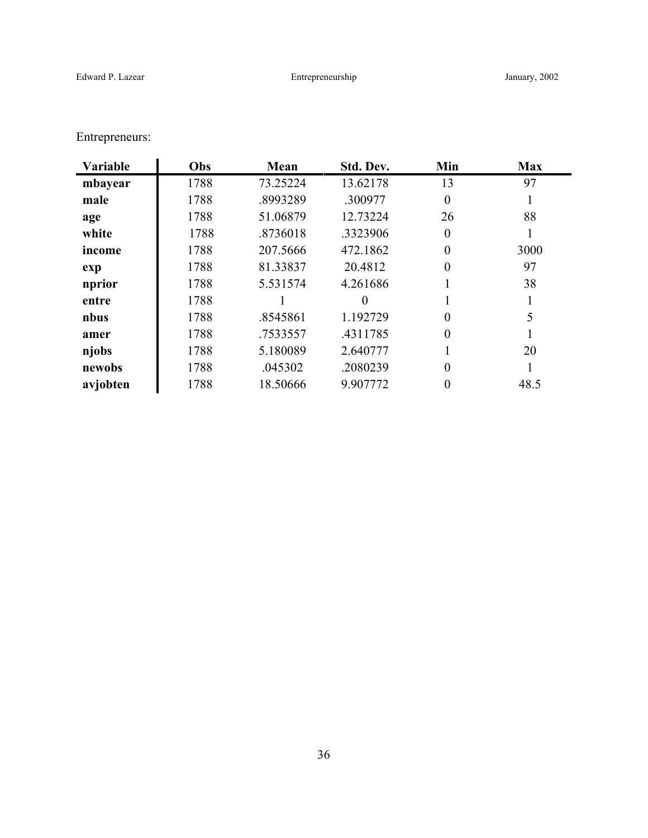Entrepreneurs:

| Variable | Obs  | Mean     | Std. Dev. | Min              | <b>Max</b> |
|----------|------|----------|-----------|------------------|------------|
| mbayear  | 1788 | 73.25224 | 13.62178  | 13               | 97         |
| male     | 1788 | .8993289 | .300977   | $\theta$         |            |
| age      | 1788 | 51.06879 | 12.73224  | 26               | 88         |
| white    | 1788 | .8736018 | .3323906  | $\boldsymbol{0}$ |            |
| income   | 1788 | 207.5666 | 472.1862  | $\overline{0}$   | 3000       |
| exp      | 1788 | 81.33837 | 20.4812   | $\overline{0}$   | 97         |
| nprior   | 1788 | 5.531574 | 4.261686  |                  | 38         |
| entre    | 1788 |          |           |                  |            |
| nbus     | 1788 | .8545861 | 1.192729  | $\theta$         | 5          |
| amer     | 1788 | .7533557 | .4311785  | $\overline{0}$   |            |
| njobs    | 1788 | 5.180089 | 2.640777  |                  | 20         |
| newobs   | 1788 | .045302  | .2080239  | $\theta$         |            |
| avjobten | 1788 | 18.50666 | 9.907772  | $\overline{0}$   | 48.5       |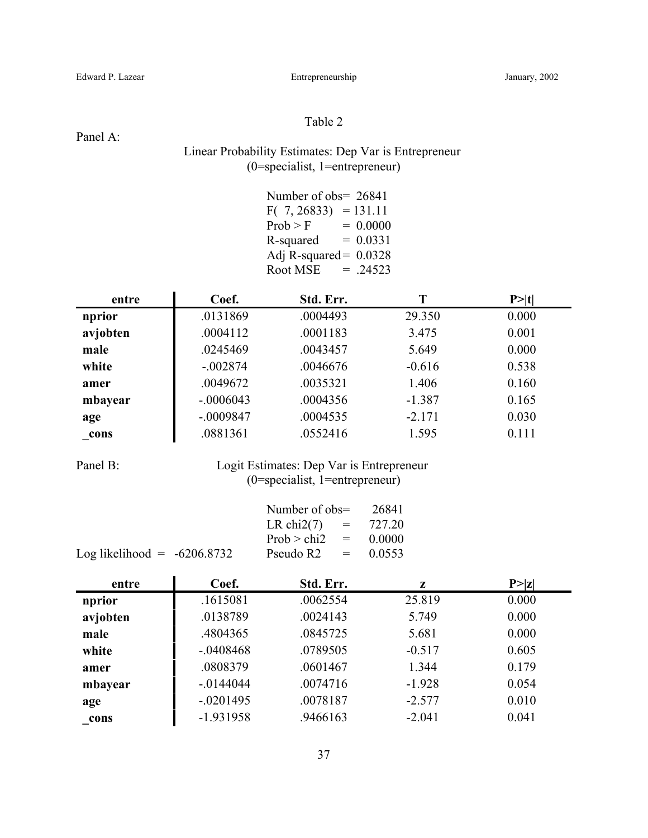Panel A:

## Table 2

## Linear Probability Estimates: Dep Var is Entrepreneur (0=specialist, 1=entrepreneur)

| Number of obs= 26841     |            |
|--------------------------|------------|
| F(7, 26833)              | $= 131.11$ |
| Prob > F                 | $= 0.0000$ |
| R-squared                | $= 0.0331$ |
| Adj R-squared = $0.0328$ |            |
| Root MSE                 | $= .24523$ |

| entre    | Coef.       | Std. Err. | T        | P >  t |
|----------|-------------|-----------|----------|--------|
| nprior   | .0131869    | .0004493  | 29.350   | 0.000  |
| avjobten | .0004112    | .0001183  | 3.475    | 0.001  |
| male     | .0245469    | .0043457  | 5.649    | 0.000  |
| white    | $-.002874$  | .0046676  | $-0.616$ | 0.538  |
| amer     | .0049672    | .0035321  | 1.406    | 0.160  |
| mbayear  | $-.0006043$ | .0004356  | $-1.387$ | 0.165  |
| age      | $-.0009847$ | .0004535  | $-2.171$ | 0.030  |
| cons     | .0881361    | .0552416  | 1.595    | 0.111  |

 $\overline{a}$ 

## Panel B: Logit Estimates: Dep Var is Entrepreneur (0=specialist, 1=entrepreneur)

|                               | Number of $obs =$      |  | 26841 |
|-------------------------------|------------------------|--|-------|
|                               | LR chi2(7) = $727.20$  |  |       |
|                               | $Prob > chi2 = 0.0000$ |  |       |
| Log likelihood = $-6206.8732$ | Pseudo R2 $=$ 0.0553   |  |       |

| entre    | Coef.       | Std. Err. | z        | P >  z |
|----------|-------------|-----------|----------|--------|
| nprior   | .1615081    | .0062554  | 25.819   | 0.000  |
| avjobten | .0138789    | .0024143  | 5.749    | 0.000  |
| male     | .4804365    | .0845725  | 5.681    | 0.000  |
| white    | $-.0408468$ | .0789505  | $-0.517$ | 0.605  |
| amer     | .0808379    | .0601467  | 1.344    | 0.179  |
| mbayear  | $-.0144044$ | .0074716  | $-1.928$ | 0.054  |
| age      | $-.0201495$ | .0078187  | $-2.577$ | 0.010  |
| cons     | $-1.931958$ | .9466163  | $-2.041$ | 0.041  |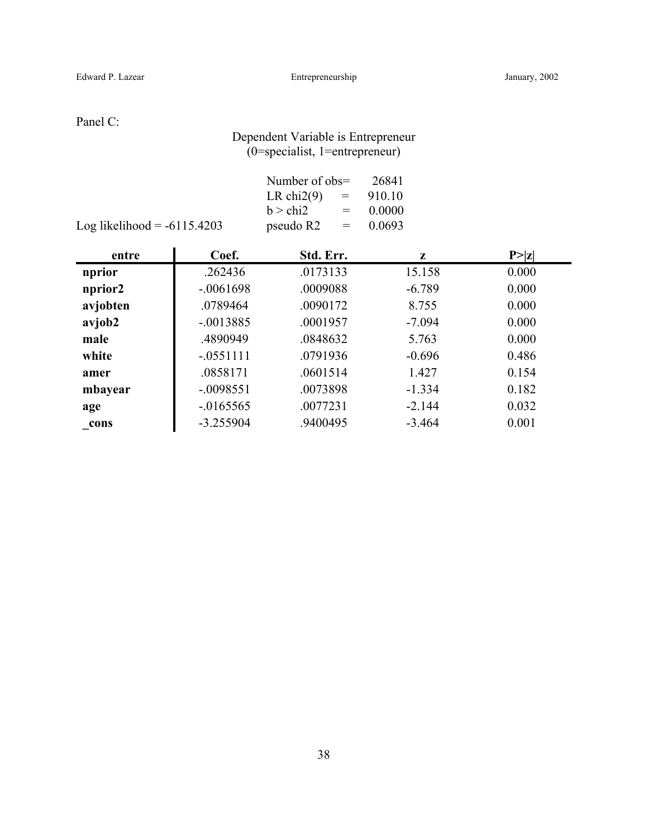## Panel C:

## Dependent Variable is Entrepreneur (0=specialist, 1=entrepreneur)

| Number of $obs =$ |     | 26841  |
|-------------------|-----|--------|
| LR chi $2(9)$     | $=$ | 910.10 |
| $h >$ chi2        | $=$ | 0.0000 |
| pseudo R2         | $=$ | 0.0693 |

Log likelihood =  $-6115.4203$  pseudo R

| entre    | Coef.        | Std. Err. | z        | P >  z |
|----------|--------------|-----------|----------|--------|
| nprior   | .262436      | .0173133  | 15.158   | 0.000  |
| nprior2  | $-.0061698$  | .0009088  | $-6.789$ | 0.000  |
| avjobten | .0789464     | .0090172  | 8.755    | 0.000  |
| avjob2   | $-.0013885$  | .0001957  | $-7.094$ | 0.000  |
| male     | .4890949     | .0848632  | 5.763    | 0.000  |
| white    | $-.0551111$  | .0791936  | $-0.696$ | 0.486  |
| amer     | .0858171     | .0601514  | 1.427    | 0.154  |
| mbayear  | $-.0098551$  | .0073898  | $-1.334$ | 0.182  |
| age      | $-0.0165565$ | .0077231  | $-2.144$ | 0.032  |
| cons     | $-3.255904$  | .9400495  | $-3.464$ | 0.001  |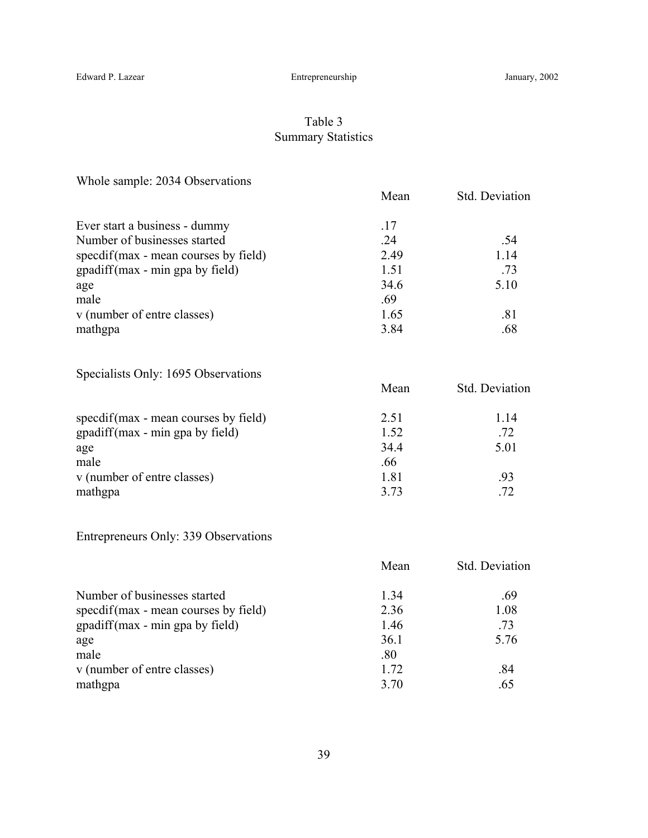## Table 3 Summary Statistics

Whole sample: 2034 Observations

|                                       | Mean | Std. Deviation |
|---------------------------------------|------|----------------|
| Ever start a business - dummy         | .17  |                |
| Number of businesses started          | .24  | .54            |
| speedif (max - mean courses by field) | 2.49 | 1.14           |
| gpadiff(max - min gpa by field)       | 1.51 | .73            |
| age                                   | 34.6 | 5.10           |
| male                                  | .69  |                |
| v (number of entre classes)           | 1.65 | .81            |
| mathgpa                               | 3.84 | .68            |

Specialists Only: 1695 Observations

|                                       | Mean | Std. Deviation |
|---------------------------------------|------|----------------|
| speedif (max - mean courses by field) | 2.51 | 1.14           |
| gpadiff(max - min gpa by field)       | 1.52 | .72            |
| age                                   | 34.4 | 5.01           |
| male                                  | .66  |                |
| v (number of entre classes)           | 1.81 | .93            |
| mathgpa                               | 3.73 | .72            |

Entrepreneurs Only: 339 Observations

|                                        | Mean | Std. Deviation |
|----------------------------------------|------|----------------|
| Number of businesses started           | 1.34 | .69            |
| $speedif(max - mean courses by field)$ | 2.36 | 1.08           |
| gpadiff(max - min gpa by field)        | 1.46 | .73            |
| age                                    | 36.1 | 5.76           |
| male                                   | .80  |                |
| v (number of entre classes)            | 1.72 | .84            |
| mathgpa                                | 3.70 | .65            |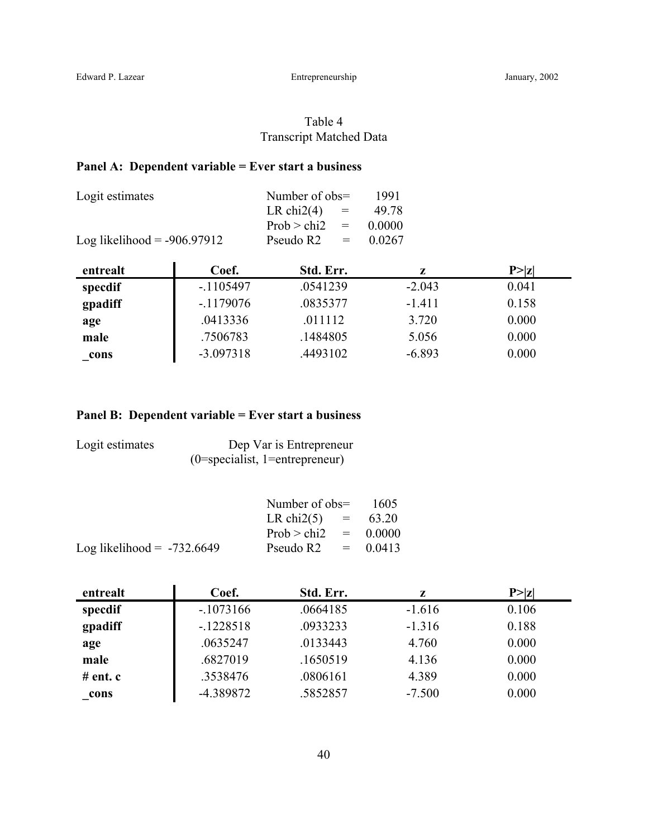## Table 4 Transcript Matched Data

## **Panel A: Dependent variable = Ever start a business**

| Logit estimates               | Number of $obs =$      | 1991   |  |
|-------------------------------|------------------------|--------|--|
|                               | LR chi2(4) $=$         | 49.78  |  |
|                               | $Prob > chi2 = 0.0000$ |        |  |
| Log likelihood = $-906.97912$ | Pseudo $R2 =$          | 0.0267 |  |

| entrealt | Coef.       | Std. Err. | z        | P >  z |
|----------|-------------|-----------|----------|--------|
| specdif  | $-1105497$  | .0541239  | $-2.043$ | 0.041  |
| gpadiff  | $-1179076$  | .0835377  | $-1.411$ | 0.158  |
| age      | .0413336    | .011112   | 3.720    | 0.000  |
| male     | .7506783    | 1484805   | 5.056    | 0.000  |
| cons     | $-3.097318$ | .4493102  | $-6.893$ | 0.000  |

## **Panel B: Dependent variable = Ever start a business**

| Logit estimates | Dep Var is Entrepreneur            |
|-----------------|------------------------------------|
|                 | $(0)$ =specialist, 1=entrepreneur) |

|                              | Number of obs= $1605$  |  |  |
|------------------------------|------------------------|--|--|
|                              | LR chi2(5) = $63.20$   |  |  |
|                              | Prob > chi2 = $0.0000$ |  |  |
| Log likelihood = $-732.6649$ | Pseudo R2 $= 0.0413$   |  |  |

| entrealt     | Coef.       | Std. Err. | z        | P >  z |
|--------------|-------------|-----------|----------|--------|
| specdif      | $-.1073166$ | .0664185  | $-1.616$ | 0.106  |
| gpadiff      | $-1228518$  | .0933233  | $-1.316$ | 0.188  |
| age          | .0635247    | .0133443  | 4.760    | 0.000  |
| male         | .6827019    | .1650519  | 4.136    | 0.000  |
| $#$ ent. $c$ | .3538476    | .0806161  | 4.389    | 0.000  |
| cons         | -4.389872   | .5852857  | $-7.500$ | 0.000  |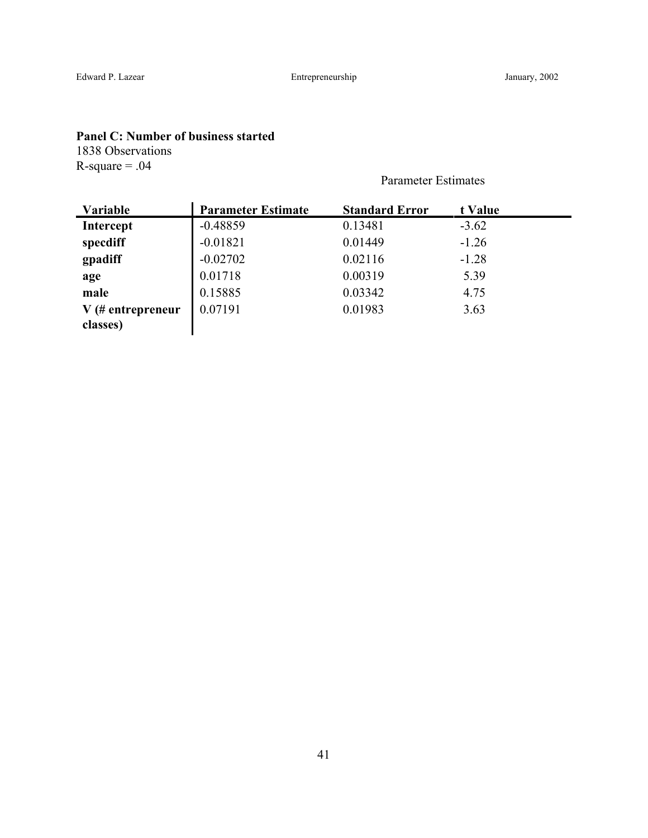## **Panel C: Number of business started**

1838 Observations  $R$ -square = .04

Parameter Estimates

| $-0.48859$<br>0.13481<br>$-3.62$<br><b>Intercept</b> |  |
|------------------------------------------------------|--|
| $-0.01821$<br>specdiff<br>0.01449<br>$-1.26$         |  |
| $-0.02702$<br>0.02116<br>gpadiff<br>$-1.28$          |  |
| 0.01718<br>0.00319<br>5.39<br>age                    |  |
| male<br>0.15885<br>0.03342<br>4.75                   |  |
| 0.07191<br>0.01983<br>3.63<br>$V$ (# entrepreneur    |  |
| classes)                                             |  |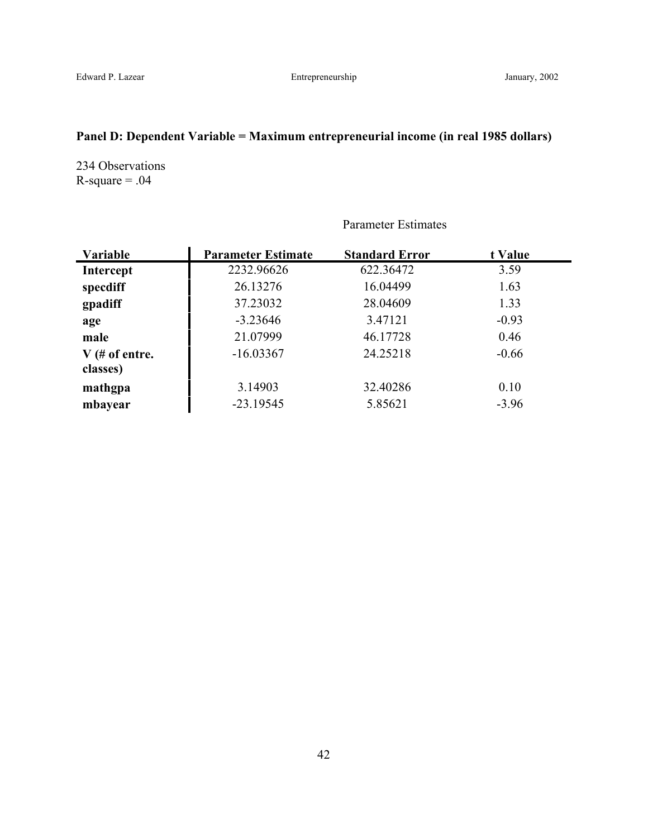# **Panel D: Dependent Variable = Maximum entrepreneurial income (in real 1985 dollars)**

234 Observations  $R$ -square  $= .04$ 

| <b>Variable</b>  | <b>Parameter Estimate</b> | <b>Standard Error</b> | t Value |
|------------------|---------------------------|-----------------------|---------|
| <b>Intercept</b> | 2232.96626                | 622.36472             | 3.59    |
| specdiff         | 26.13276                  | 16.04499              | 1.63    |
| gpadiff          | 37.23032                  | 28.04609              | 1.33    |
| age              | $-3.23646$                | 3.47121               | $-0.93$ |
| male             | 21.07999                  | 46.17728              | 0.46    |
| $V$ (# of entre. | $-16.03367$               | 24.25218              | $-0.66$ |
| classes)         |                           |                       |         |
| mathgpa          | 3.14903                   | 32.40286              | 0.10    |
| mbayear          | $-23.19545$               | 5.85621               | $-3.96$ |

Parameter Estimates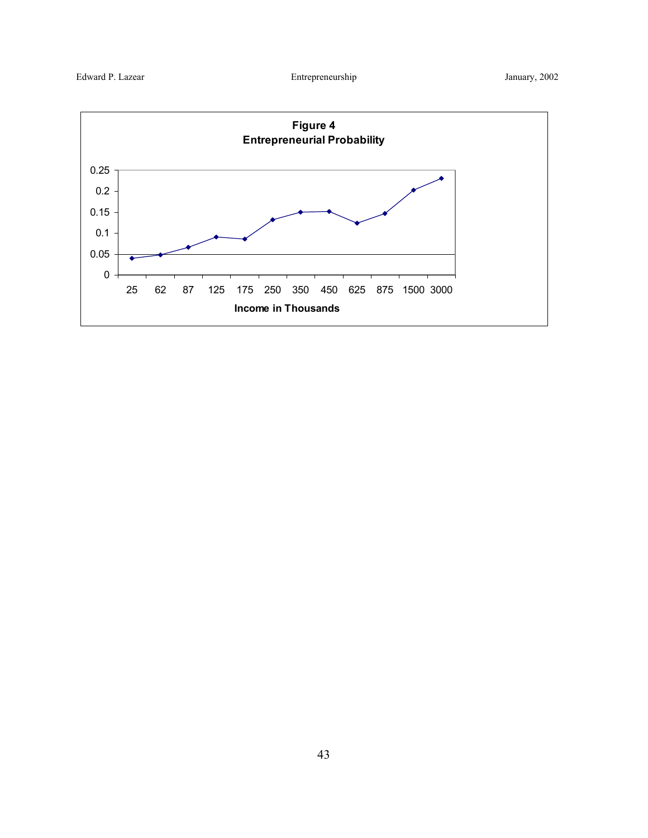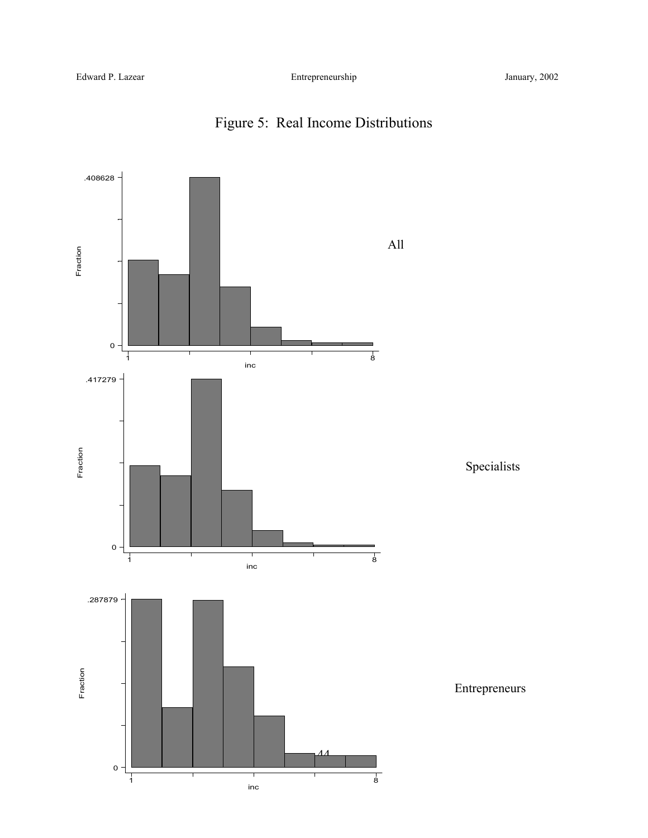

inc  $\frac{1}{1}$  8

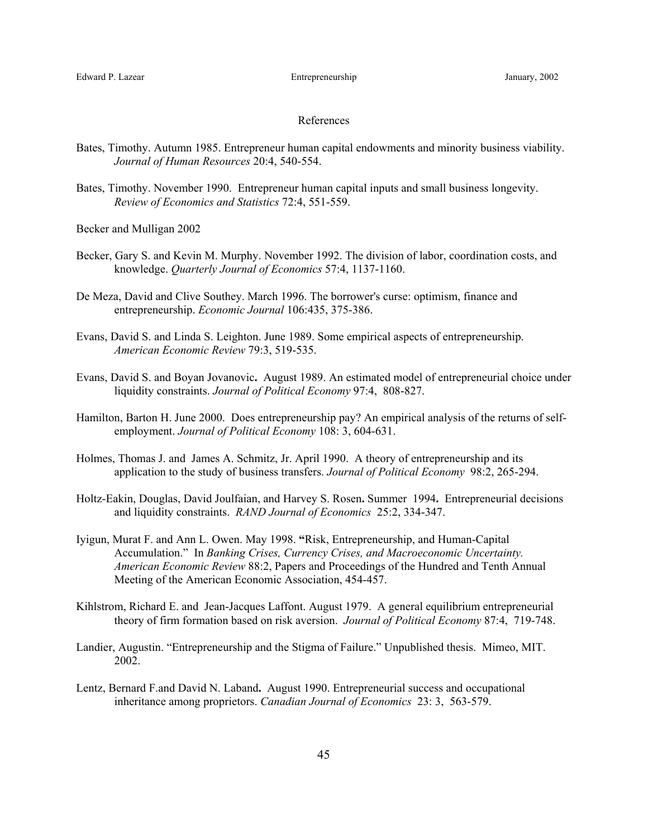### References

- Bates, Timothy. Autumn 1985. Entrepreneur human capital endowments and minority business viability. *Journal of Human Resources* 20:4, 540-554.
- Bates, Timothy. November 1990. Entrepreneur human capital inputs and small business longevity. *Review of Economics and Statistics* 72:4, 551-559.
- Becker and Mulligan 2002
- Becker, Gary S. and Kevin M. Murphy. November 1992. The division of labor, coordination costs, and knowledge. *Quarterly Journal of Economics* 57:4, 1137-1160.
- De Meza, David and Clive Southey. March 1996. The borrower's curse: optimism, finance and entrepreneurship. *Economic Journal* 106:435, 375-386.
- Evans, David S. and Linda S. Leighton. June 1989. Some empirical aspects of entrepreneurship. *American Economic Review* 79:3, 519-535.
- Evans, David S. and Boyan Jovanovic**.** August 1989. An estimated model of entrepreneurial choice under liquidity constraints. *Journal of Political Economy* 97:4, 808-827.
- Hamilton, Barton H. June 2000. Does entrepreneurship pay? An empirical analysis of the returns of selfemployment. *Journal of Political Economy* 108: 3, 604-631.
- Holmes, Thomas J. and James A. Schmitz, Jr. April 1990. A theory of entrepreneurship and its application to the study of business transfers. *Journal of Political Economy* 98:2, 265-294.
- Holtz-Eakin, Douglas, David Joulfaian, and Harvey S. Rosen**.** Summer 1994**.** Entrepreneurial decisions and liquidity constraints. *RAND Journal of Economics* 25:2, 334-347.
- Iyigun, Murat F. and Ann L. Owen. May 1998. **"**Risk, Entrepreneurship, and Human-Capital Accumulation." In *Banking Crises, Currency Crises, and Macroeconomic Uncertainty. American Economic Review* 88:2, Papers and Proceedings of the Hundred and Tenth Annual Meeting of the American Economic Association, 454-457.
- Kihlstrom, Richard E. and Jean-Jacques Laffont. August 1979. A general equilibrium entrepreneurial theory of firm formation based on risk aversion. *Journal of Political Economy* 87:4, 719-748.
- Landier, Augustin. "Entrepreneurship and the Stigma of Failure." Unpublished thesis. Mimeo, MIT. 2002.
- Lentz, Bernard F.and David N. Laband**.** August 1990. Entrepreneurial success and occupational inheritance among proprietors. *Canadian Journal of Economics* 23: 3, 563-579.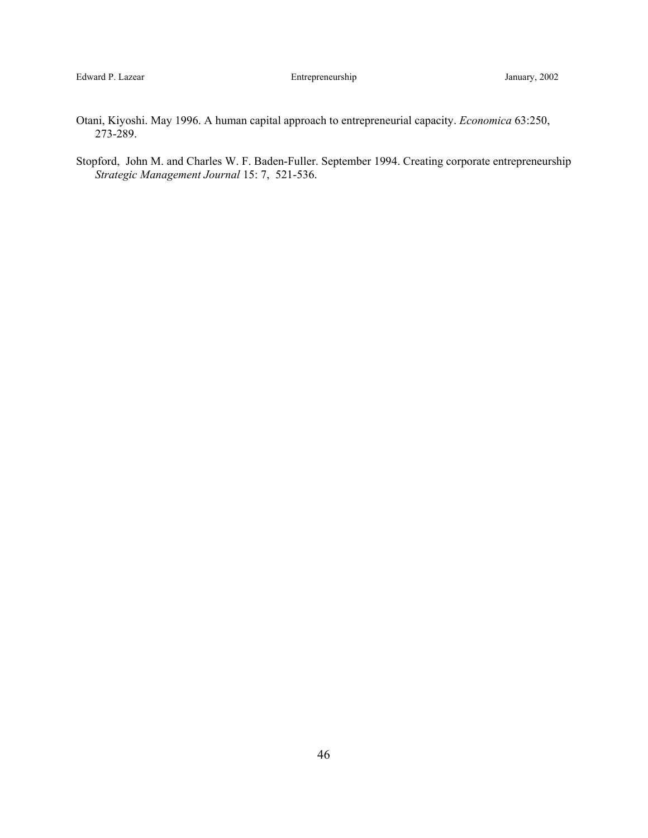- Otani, Kiyoshi. May 1996. A human capital approach to entrepreneurial capacity. *Economica* 63:250, 273-289.
- Stopford, John M. and Charles W. F. Baden-Fuller. September 1994. Creating corporate entrepreneurship *Strategic Management Journal* 15: 7, 521-536.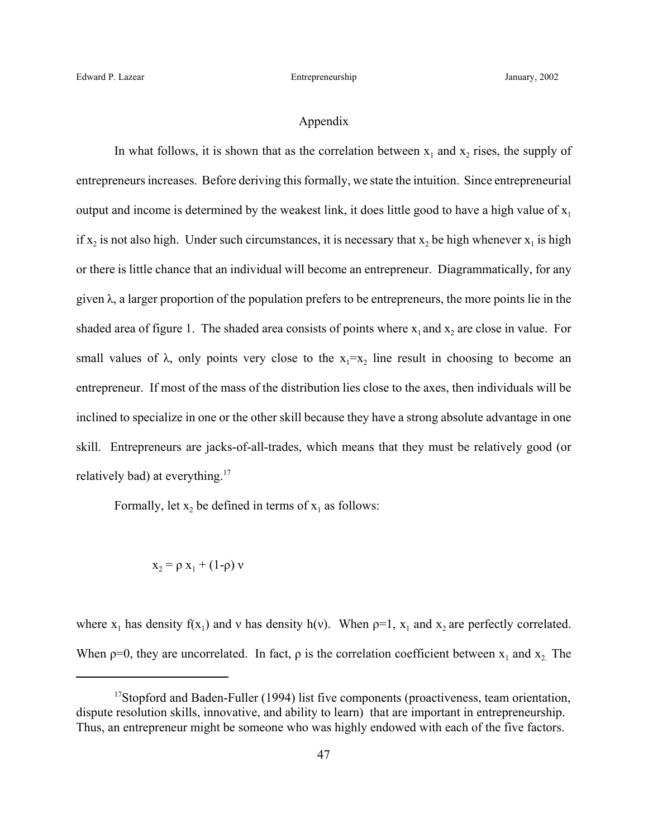### Appendix

In what follows, it is shown that as the correlation between  $x_1$  and  $x_2$  rises, the supply of entrepreneurs increases. Before deriving this formally, we state the intuition. Since entrepreneurial output and income is determined by the weakest link, it does little good to have a high value of  $x_1$ if x<sub>2</sub> is not also high. Under such circumstances, it is necessary that x<sub>2</sub> be high whenever x<sub>1</sub> is high or there is little chance that an individual will become an entrepreneur. Diagrammatically, for any given  $\lambda$ , a larger proportion of the population prefers to be entrepreneurs, the more points lie in the shaded area of figure 1. The shaded area consists of points where  $x_1$  and  $x_2$  are close in value. For small values of  $\lambda$ , only points very close to the  $x_1=x_2$  line result in choosing to become an entrepreneur. If most of the mass of the distribution lies close to the axes, then individuals will be inclined to specialize in one or the other skill because they have a strong absolute advantage in one skill. Entrepreneurs are jacks-of-all-trades, which means that they must be relatively good (or relatively bad) at everything.<sup>17</sup>

Formally, let  $x_2$  be defined in terms of  $x_1$  as follows:

$$
x_2 = \rho x_1 + (1-\rho) v
$$

where  $x_1$  has density  $f(x_1)$  and v has density h(v). When  $\rho=1$ ,  $x_1$  and  $x_2$  are perfectly correlated. When  $p=0$ , they are uncorrelated. In fact,  $\rho$  is the correlation coefficient between  $x_1$  and  $x_2$ . The

<sup>&</sup>lt;sup>17</sup>Stopford and Baden-Fuller (1994) list five components (proactiveness, team orientation, dispute resolution skills, innovative, and ability to learn) that are important in entrepreneurship. Thus, an entrepreneur might be someone who was highly endowed with each of the five factors.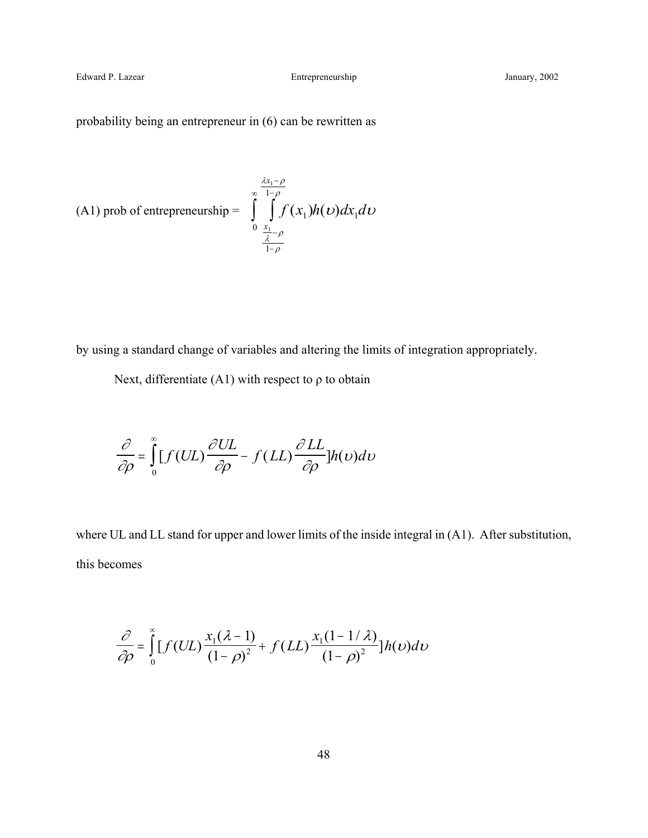Edward P. Lazear Entrepreneurship January, 2002

probability being an entrepreneur in (6) can be rewritten as

(A1) prob of entrepreneurship = 
$$
\int_{0}^{\infty} \int_{\frac{x_1 - \rho}{\lambda - \rho}}^{\frac{\lambda x_1 - \rho}{1 - \rho}} f(x_1) h(\nu) dx_1 d\nu
$$

by using a standard change of variables and altering the limits of integration appropriately.

Next, differentiate (A1) with respect to  $\rho$  to obtain

$$
\frac{\partial}{\partial \rho} = \int_{0}^{\infty} [f(UL) \frac{\partial UL}{\partial \rho} - f(LL) \frac{\partial LL}{\partial \rho}] h(\nu) d\nu
$$

where UL and LL stand for upper and lower limits of the inside integral in (A1). After substitution, this becomes

$$
\frac{\partial}{\partial \rho} = \int_{0}^{\infty} [f(UL)\frac{x_1(\lambda-1)}{(1-\rho)^2} + f(LL)\frac{x_1(1-\frac{1}{\lambda})}{(1-\rho)^2}]h(\nu)d\nu
$$